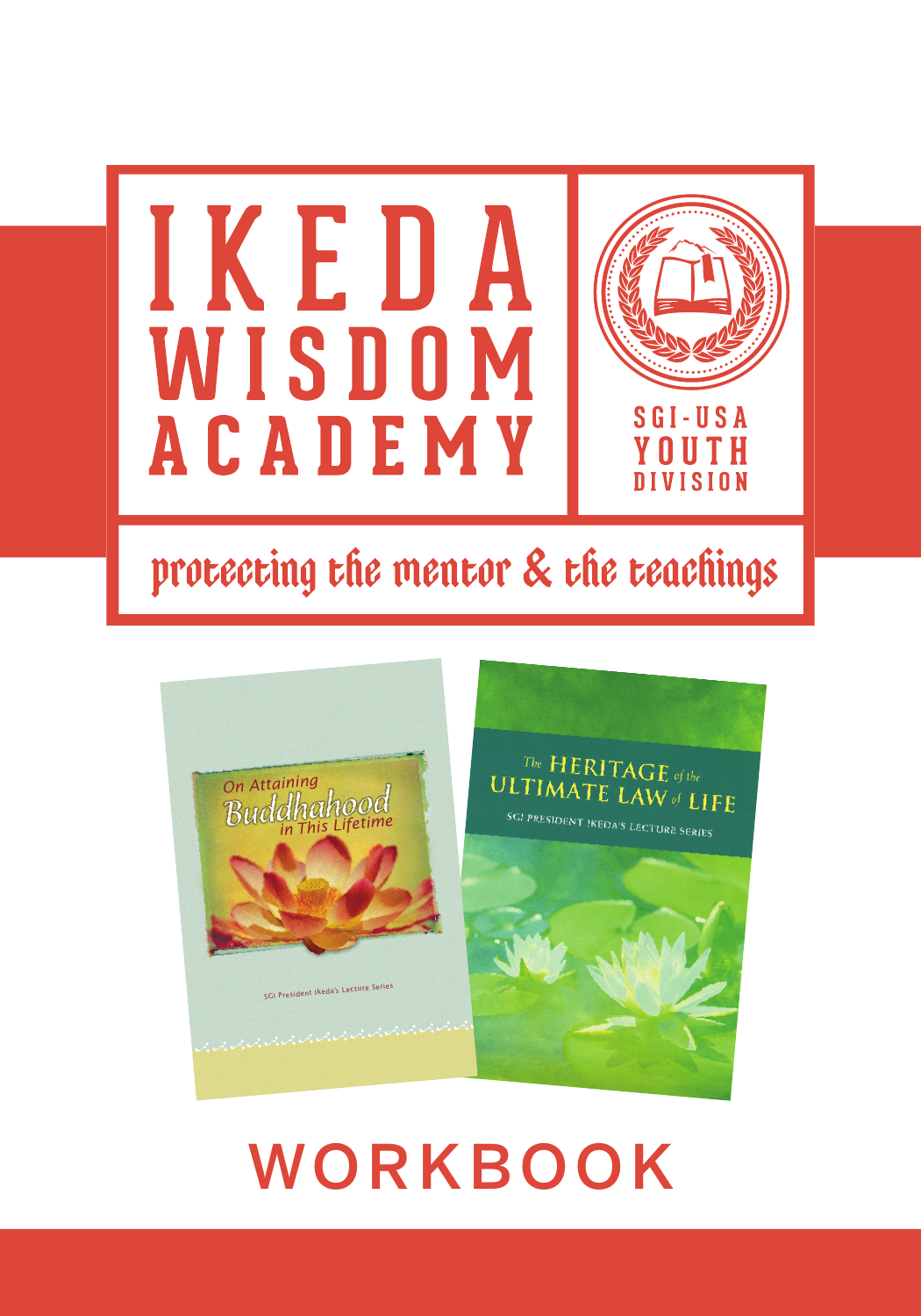

# protecting the mentor & the teachings



# WORKBOOK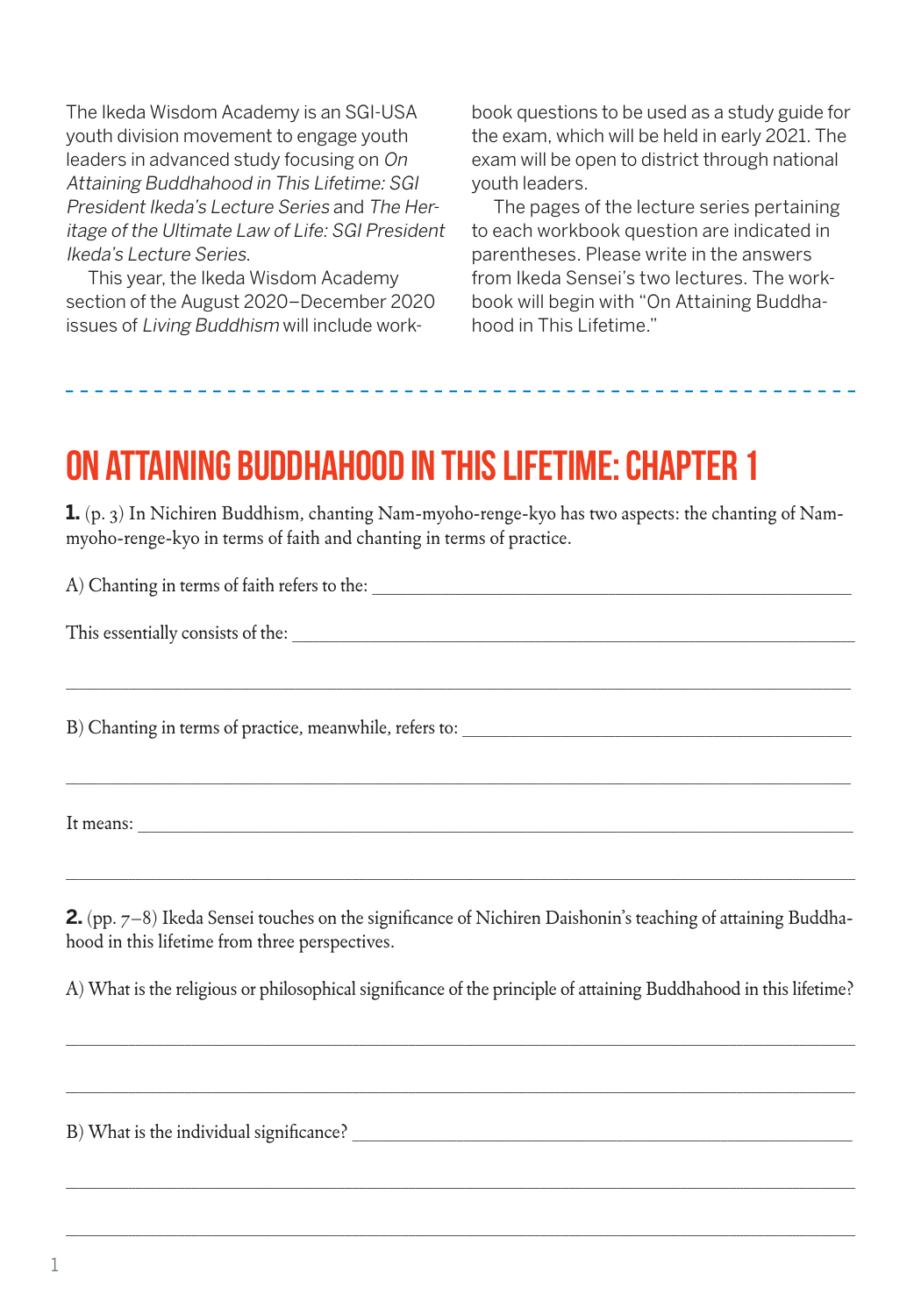The Ikeda Wisdom Academy is an SGI-USA youth division movement to engage youth leaders in advanced study focusing on On Attaining Buddhahood in This Lifetime: SGI President Ikeda's Lecture Series and The Heritage of the Ultimate Law of Life: SGI President Ikeda's Lecture Series.

This year, the Ikeda Wisdom Academy section of the August 2020–December 2020 issues of Living Buddhism will include work-

book questions to be used as a study guide for the exam, which will be held in early 2021. The exam will be open to district through national youth leaders.

The pages of the lecture series pertaining to each workbook question are indicated in parentheses. Please write in the answers from Ikeda Sensei's two lectures. The workbook will begin with "On Attaining Buddhahood in This Lifetime."

#### on attaining Buddhahood in this lifetime: Chapter 1

**1.** (p. 3) In Nichiren Buddhism, chanting Nam-myoho-renge-kyo has two aspects: the chanting of Nammyoho-renge-kyo in terms of faith and chanting in terms of practice.

\_\_\_\_\_\_\_\_\_\_\_\_\_\_\_\_\_\_\_\_\_\_\_\_\_\_\_\_\_\_\_\_\_\_\_\_\_\_\_\_\_\_\_\_\_\_\_\_\_\_\_\_\_\_\_\_\_\_\_\_\_\_\_\_\_\_\_\_\_\_\_\_\_\_\_\_\_\_\_\_\_\_\_\_\_\_\_\_\_\_\_\_\_\_\_\_\_\_\_\_\_\_\_\_\_\_\_\_\_\_\_\_\_

\_\_\_\_\_\_\_\_\_\_\_\_\_\_\_\_\_\_\_\_\_\_\_\_\_\_\_\_\_\_\_\_\_\_\_\_\_\_\_\_\_\_\_\_\_\_\_\_\_\_\_\_\_\_\_\_\_\_\_\_\_\_\_\_\_\_\_\_\_\_\_\_\_\_\_\_\_\_\_\_\_\_\_\_\_\_\_\_\_\_\_\_\_\_\_\_\_\_\_\_\_\_\_\_\_\_\_\_\_\_\_\_\_

 $A)$  Chanting in terms of faith refers to the:

This essentially consists of the:

B) Chanting in terms of practice, meanwhile, refers to:

It means:

**2.** (pp. 7–8) Ikeda Sensei touches on the significance of Nichiren Daishonin's teaching of attaining Buddhahood in this lifetime from three perspectives.

\_\_\_\_\_\_\_\_\_\_\_\_\_\_\_\_\_\_\_\_\_\_\_\_\_\_\_\_\_\_\_\_\_\_\_\_\_\_\_\_\_\_\_\_\_\_\_\_\_\_\_\_\_\_\_\_\_\_\_\_\_\_\_\_\_\_\_\_\_\_\_\_\_\_\_\_\_\_\_\_\_\_\_\_\_\_\_\_\_\_\_\_\_\_\_\_\_\_\_\_\_\_\_\_\_\_\_\_\_\_\_\_\_

A) What is the religious or philosophical significance of the principle of attaining Buddhahood in this lifetime?

\_\_\_\_\_\_\_\_\_\_\_\_\_\_\_\_\_\_\_\_\_\_\_\_\_\_\_\_\_\_\_\_\_\_\_\_\_\_\_\_\_\_\_\_\_\_\_\_\_\_\_\_\_\_\_\_\_\_\_\_\_\_\_\_\_\_\_\_\_\_\_\_\_\_\_\_\_\_\_\_\_\_\_\_\_\_\_\_\_\_\_\_\_\_\_\_\_\_\_\_\_\_\_\_\_\_\_\_\_\_\_\_\_

\_\_\_\_\_\_\_\_\_\_\_\_\_\_\_\_\_\_\_\_\_\_\_\_\_\_\_\_\_\_\_\_\_\_\_\_\_\_\_\_\_\_\_\_\_\_\_\_\_\_\_\_\_\_\_\_\_\_\_\_\_\_\_\_\_\_\_\_\_\_\_\_\_\_\_\_\_\_\_\_\_\_\_\_\_\_\_\_\_\_\_\_\_\_\_\_\_\_\_\_\_\_\_\_\_\_\_\_\_\_\_\_\_

\_\_\_\_\_\_\_\_\_\_\_\_\_\_\_\_\_\_\_\_\_\_\_\_\_\_\_\_\_\_\_\_\_\_\_\_\_\_\_\_\_\_\_\_\_\_\_\_\_\_\_\_\_\_\_\_\_\_\_\_\_\_\_\_\_\_\_\_\_\_\_\_\_\_\_\_\_\_\_\_\_\_\_\_\_\_\_\_\_\_\_\_\_\_\_\_\_\_\_\_\_\_\_\_\_\_\_\_\_\_\_\_\_

\_\_\_\_\_\_\_\_\_\_\_\_\_\_\_\_\_\_\_\_\_\_\_\_\_\_\_\_\_\_\_\_\_\_\_\_\_\_\_\_\_\_\_\_\_\_\_\_\_\_\_\_\_\_\_\_\_\_\_\_\_\_\_\_\_\_\_\_\_\_\_\_\_\_\_\_\_\_\_\_\_\_\_\_\_\_\_\_\_\_\_\_\_\_\_\_\_\_\_\_\_\_\_\_\_\_\_\_\_\_\_\_\_

B) What is the individual significance?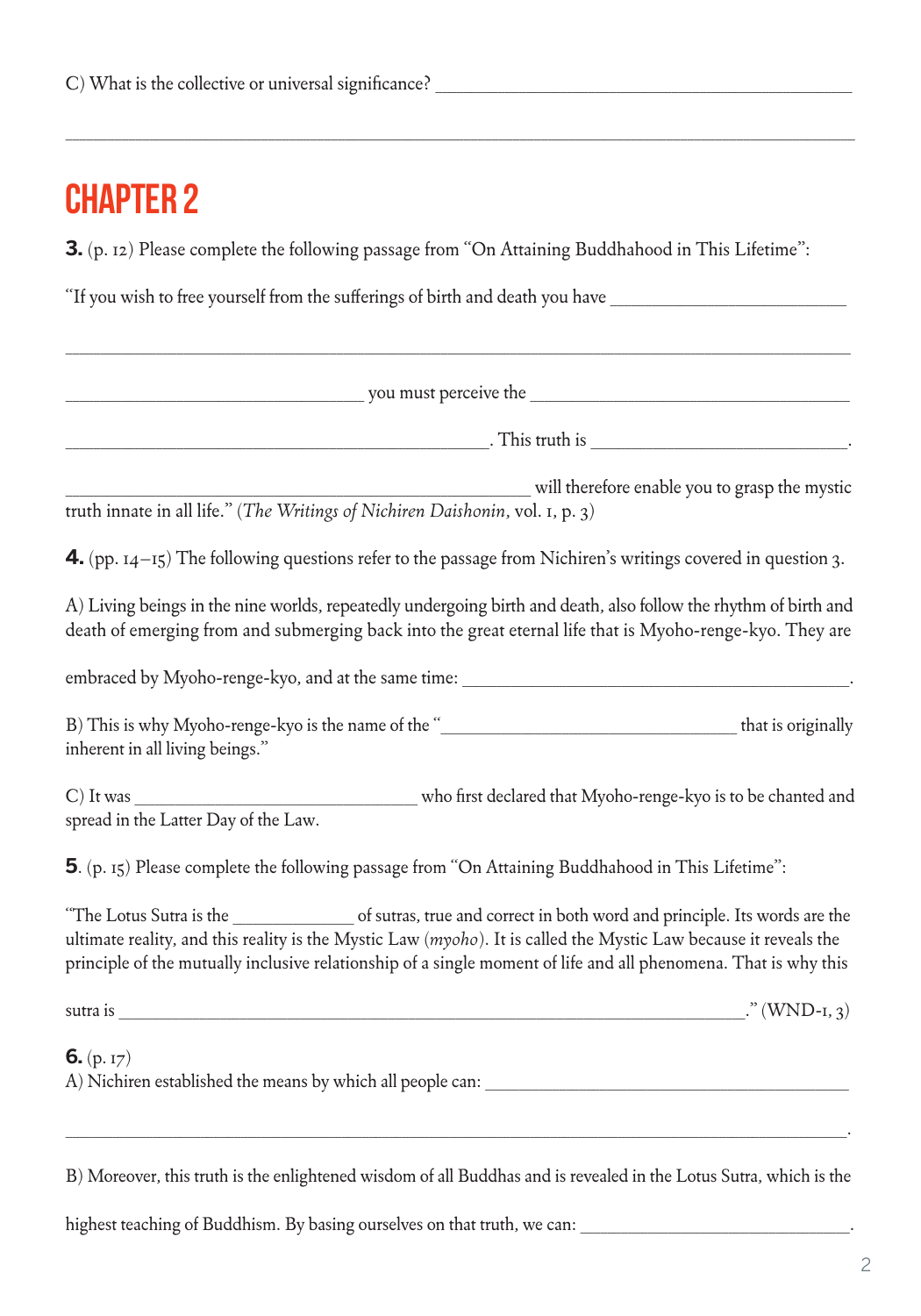**3.** (p. 12) Please complete the following passage from "On Attaining Buddhahood in This Lifetime":

\_\_\_\_\_\_\_\_\_\_\_\_\_\_\_\_\_\_\_\_\_\_\_\_\_\_\_\_\_\_\_\_\_\_\_\_\_\_\_\_\_\_\_\_\_\_\_\_\_\_\_\_\_\_\_\_\_\_\_\_\_\_\_\_\_\_\_\_\_\_\_\_\_\_\_\_\_\_\_\_\_\_\_\_\_\_\_\_\_\_\_\_\_\_\_\_\_\_\_\_\_\_\_\_\_\_\_\_\_\_\_\_\_

"If you wish to free yourself from the sufferings of birth and death you have

 $\sim$  you must perceive the  $\sim$ 

\_\_\_\_\_\_\_\_\_\_\_\_\_\_\_\_\_\_\_\_\_\_\_\_\_\_\_\_\_\_\_\_\_\_\_\_\_\_\_\_\_\_\_\_\_\_\_\_\_\_\_\_\_\_\_\_\_\_\_\_\_\_\_\_\_\_\_\_\_\_\_\_\_\_\_\_\_\_\_\_\_\_\_\_\_\_\_\_\_\_\_\_\_\_\_\_\_\_\_\_\_\_\_\_\_\_\_\_\_\_\_\_\_

. This truth is

will therefore enable you to grasp the mystic truth innate in all life." (*The Writings of Nichiren Daishonin*, vol. 1, p. 3)

**4.** (pp. 14–15) The following questions refer to the passage from Nichiren's writings covered in question 3.

A) Living beings in the nine worlds, repeatedly undergoing birth and death, also follow the rhythm of birth and death of emerging from and submerging back into the great eternal life that is Myoho-renge-kyo. They are

embraced by Myoho-renge-kyo, and at the same time: \_\_\_\_\_\_\_\_\_\_\_\_\_\_\_\_\_\_\_\_\_\_\_\_\_\_\_\_\_

B) This is why Myoho-renge-kyo is the name of the " This is originally inherent in all living beings."

C) It was **the contract of the contract of the contract of the contract of the chanted and** contract of the chanted and contract of the chanted and contract of the chanted and contract of the chanted and contract of the ch spread in the Latter Day of the Law.

**5**. (p. 15) Please complete the following passage from "On Attaining Buddhahood in This Lifetime":

"The Lotus Sutra is the \_\_\_\_\_\_\_\_\_\_\_\_\_\_\_\_\_\_ of sutras, true and correct in both word and principle. Its words are the ultimate reality, and this reality is the Mystic Law (*myoho*). It is called the Mystic Law because it reveals the principle of the mutually inclusive relationship of a single moment of life and all phenomena. That is why this

sutra is  $\cdots$  (WND-1, 3)

**6.** (p. 17)

A) Nichiren established the means by which all people can:

B) Moreover, this truth is the enlightened wisdom of all Buddhas and is revealed in the Lotus Sutra, which is the

\_\_\_\_\_\_\_\_\_\_\_\_\_\_\_\_\_\_\_\_\_\_\_\_\_\_\_\_\_\_\_\_\_\_\_\_\_\_\_\_\_\_\_\_\_\_\_\_\_\_\_\_\_\_\_\_\_\_\_\_\_\_\_\_\_\_\_\_\_\_\_\_\_\_\_\_\_\_\_\_\_\_\_\_\_\_\_\_\_\_\_\_\_\_\_\_\_\_\_\_\_\_\_\_\_\_\_\_\_\_\_\_\_\_\_\_.

highest teaching of Buddhism. By basing ourselves on that truth, we can: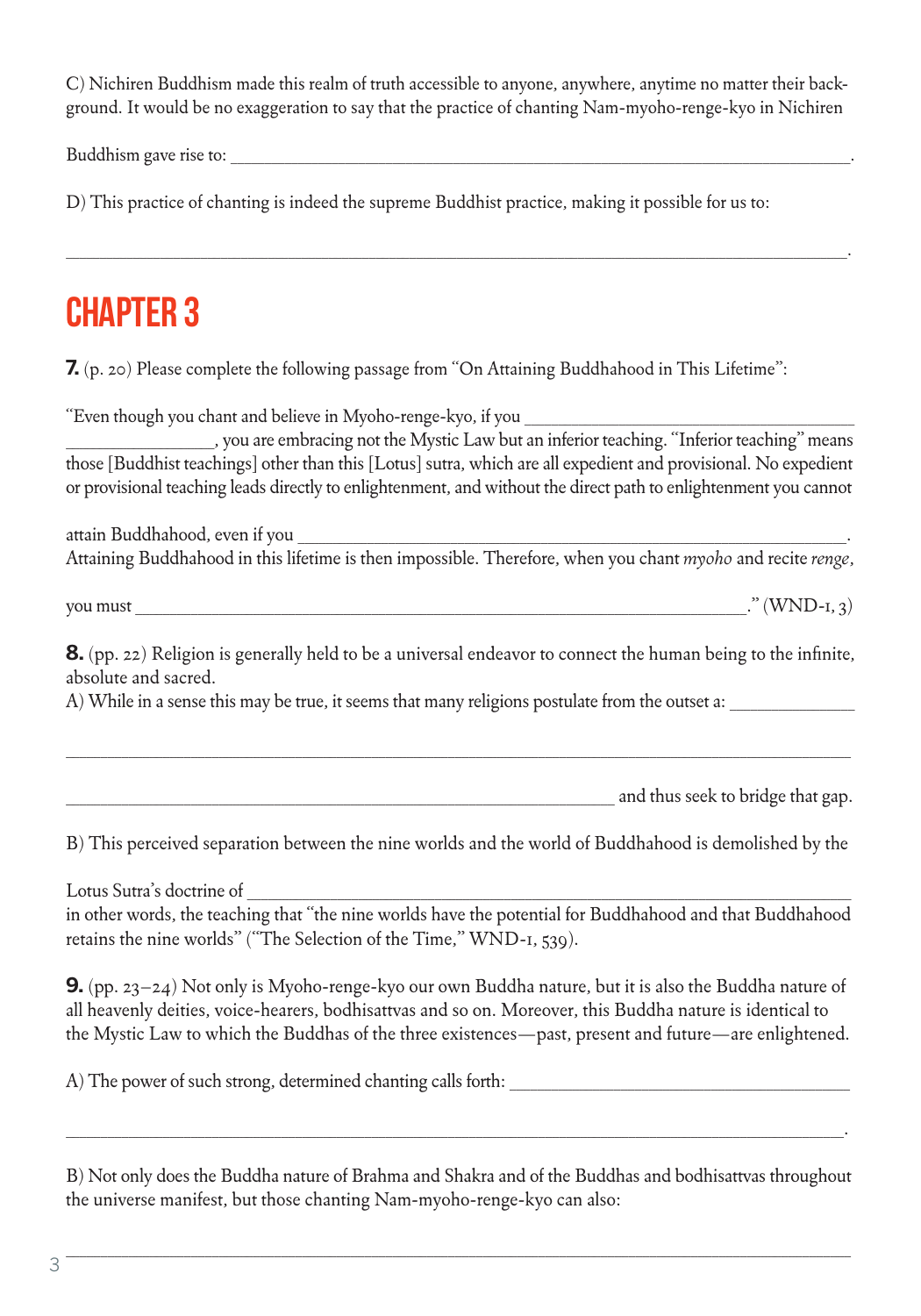C) Nichiren Buddhism made this realm of truth accessible to anyone, anywhere, anytime no matter their background. It would be no exaggeration to say that the practice of chanting Nam-myoho-renge-kyo in Nichiren

\_\_\_\_\_\_\_\_\_\_\_\_\_\_\_\_\_\_\_\_\_\_\_\_\_\_\_\_\_\_\_\_\_\_\_\_\_\_\_\_\_\_\_\_\_\_\_\_\_\_\_\_\_\_\_\_\_\_\_\_\_\_\_\_\_\_\_\_\_\_\_\_\_\_\_\_\_\_\_\_\_\_\_\_\_\_\_\_\_\_\_\_\_\_\_\_\_\_\_\_\_\_\_\_\_\_\_\_\_\_\_\_\_\_\_\_.

Buddhism gave rise to:

D) This practice of chanting is indeed the supreme Buddhist practice, making it possible for us to:

### **CHAPTER 3**

**7.** (p. 20) Please complete the following passage from "On Attaining Buddhahood in This Lifetime":

"Even though you chant and believe in Myoho-renge-kyo, if you

\_\_\_\_\_\_\_\_\_\_\_\_\_\_\_\_\_\_\_\_\_\_, you are embracing not the Mystic Law but an inferior teaching. "Inferior teaching" means those [Buddhist teachings] other than this [Lotus] sutra, which are all expedient and provisional. No expedient or provisional teaching leads directly to enlightenment, and without the direct path to enlightenment you cannot

attain Buddhahood, even if you Attaining Buddhahood in this lifetime is then impossible. Therefore, when you chant *myoho* and recite *renge*,

you must \_\_\_\_\_\_\_\_\_\_\_\_\_\_\_\_\_\_\_\_\_\_\_\_\_\_\_\_\_\_\_\_\_\_\_\_\_\_\_\_\_\_\_\_\_\_\_\_\_\_\_\_\_\_\_\_\_\_\_\_\_\_\_\_\_\_\_\_\_\_\_\_\_\_\_\_\_\_\_\_\_\_\_\_\_\_\_\_." (WND-1, 3)

**8.** (pp. 22) Religion is generally held to be a universal endeavor to connect the human being to the infinite, absolute and sacred.

\_\_\_\_\_\_\_\_\_\_\_\_\_\_\_\_\_\_\_\_\_\_\_\_\_\_\_\_\_\_\_\_\_\_\_\_\_\_\_\_\_\_\_\_\_\_\_\_\_\_\_\_\_\_\_\_\_\_\_\_\_\_\_\_\_\_\_\_\_\_\_\_\_\_\_\_\_\_\_\_\_\_\_\_\_\_\_\_\_\_\_\_\_\_\_\_\_\_\_\_\_\_\_\_\_\_\_\_\_\_\_\_\_

A) While in a sense this may be true, it seems that many religions postulate from the outset a:

and thus seek to bridge that gap.

B) This perceived separation between the nine worlds and the world of Buddhahood is demolished by the

Lotus Sutra's doctrine of

in other words, the teaching that "the nine worlds have the potential for Buddhahood and that Buddhahood retains the nine worlds" ("The Selection of the Time," WND-1, 539).

**9.** (pp. 23–24) Not only is Myoho-renge-kyo our own Buddha nature, but it is also the Buddha nature of all heavenly deities, voice-hearers, bodhisattvas and so on. Moreover, this Buddha nature is identical to the Mystic Law to which the Buddhas of the three existences—past, present and future—are enlightened.

A) The power of such strong, determined chanting calls forth:

B) Not only does the Buddha nature of Brahma and Shakra and of the Buddhas and bodhisattvas throughout the universe manifest, but those chanting Nam-myoho-renge-kyo can also:

\_\_\_\_\_\_\_\_\_\_\_\_\_\_\_\_\_\_\_\_\_\_\_\_\_\_\_\_\_\_\_\_\_\_\_\_\_\_\_\_\_\_\_\_\_\_\_\_\_\_\_\_\_\_\_\_\_\_\_\_\_\_\_\_\_\_\_\_\_\_\_\_\_\_\_\_\_\_\_\_\_\_\_\_\_\_\_\_\_\_\_\_\_\_\_\_\_\_\_\_\_\_\_\_\_\_\_\_\_\_\_\_\_

\_\_\_\_\_\_\_\_\_\_\_\_\_\_\_\_\_\_\_\_\_\_\_\_\_\_\_\_\_\_\_\_\_\_\_\_\_\_\_\_\_\_\_\_\_\_\_\_\_\_\_\_\_\_\_\_\_\_\_\_\_\_\_\_\_\_\_\_\_\_\_\_\_\_\_\_\_\_\_\_\_\_\_\_\_\_\_\_\_\_\_\_\_\_\_\_\_\_\_\_\_\_\_\_\_\_\_\_\_\_\_\_.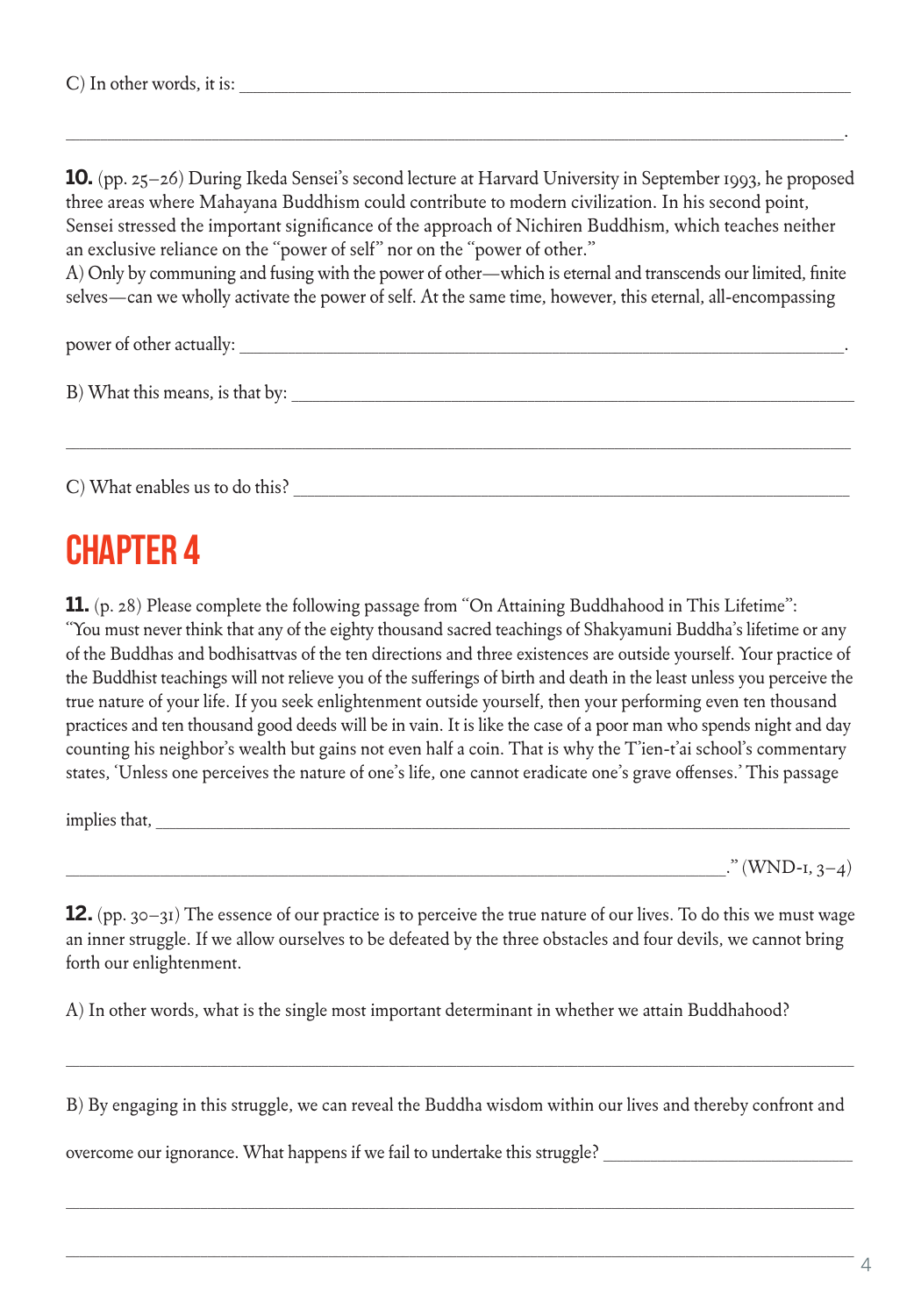**10.** (pp. 25–26) During Ikeda Sensei's second lecture at Harvard University in September 1993, he proposed three areas where Mahayana Buddhism could contribute to modern civilization. In his second point, Sensei stressed the important significance of the approach of Nichiren Buddhism, which teaches neither an exclusive reliance on the "power of self" nor on the "power of other."

\_\_\_\_\_\_\_\_\_\_\_\_\_\_\_\_\_\_\_\_\_\_\_\_\_\_\_\_\_\_\_\_\_\_\_\_\_\_\_\_\_\_\_\_\_\_\_\_\_\_\_\_\_\_\_\_\_\_\_\_\_\_\_\_\_\_\_\_\_\_\_\_\_\_\_\_\_\_\_\_\_\_\_\_\_\_\_\_\_\_\_\_\_\_\_\_\_\_\_\_\_\_\_\_\_\_\_\_\_\_\_\_.

A) Only by communing and fusing with the power of other—which is eternal and transcends our limited, finite selves—can we wholly activate the power of self. At the same time, however, this eternal, all-encompassing

\_\_\_\_\_\_\_\_\_\_\_\_\_\_\_\_\_\_\_\_\_\_\_\_\_\_\_\_\_\_\_\_\_\_\_\_\_\_\_\_\_\_\_\_\_\_\_\_\_\_\_\_\_\_\_\_\_\_\_\_\_\_\_\_\_\_\_\_\_\_\_\_\_\_\_\_\_\_\_\_\_\_\_\_\_\_\_\_\_\_\_\_\_\_\_\_\_\_\_\_\_\_\_\_\_\_\_\_\_\_\_\_\_

power of other actually:

B) What this means, is that by: \_\_\_\_\_\_\_\_\_\_\_\_\_\_\_\_\_\_\_\_\_\_\_\_\_\_\_\_\_\_\_\_\_\_\_\_\_\_\_\_\_\_\_\_\_\_\_\_\_\_\_\_\_\_\_\_\_\_\_\_\_\_\_\_\_\_\_\_\_\_\_\_\_\_\_\_\_\_\_\_\_

C) What enables us to do this?

#### CHAPTER 4

**11.** (p. 28) Please complete the following passage from "On Attaining Buddhahood in This Lifetime": "You must never think that any of the eighty thousand sacred teachings of Shakyamuni Buddha's lifetime or any of the Buddhas and bodhisattvas of the ten directions and three existences are outside yourself. Your practice of the Buddhist teachings will not relieve you of the sufferings of birth and death in the least unless you perceive the true nature of your life. If you seek enlightenment outside yourself, then your performing even ten thousand practices and ten thousand good deeds will be in vain. It is like the case of a poor man who spends night and day counting his neighbor's wealth but gains not even half a coin. That is why the T'ien-t'ai school's commentary states, 'Unless one perceives the nature of one's life, one cannot eradicate one's grave offenses.' This passage

implies that, \_\_\_\_\_\_\_\_\_\_\_\_\_\_\_\_\_\_\_\_\_\_\_\_\_\_\_\_\_\_\_\_\_\_\_\_\_\_\_\_\_\_\_\_\_\_\_\_\_\_\_\_\_\_\_\_\_\_\_\_\_\_\_\_\_\_\_\_\_\_\_\_\_\_\_\_\_\_\_\_\_\_\_\_\_\_\_\_\_\_\_\_\_\_\_\_\_\_\_\_\_\_\_

 $\cdot$ " (WND-1, 3–4)

**12.** (pp. 30–31) The essence of our practice is to perceive the true nature of our lives. To do this we must wage an inner struggle. If we allow ourselves to be defeated by the three obstacles and four devils, we cannot bring forth our enlightenment.

A) In other words, what is the single most important determinant in whether we attain Buddhahood?

B) By engaging in this struggle, we can reveal the Buddha wisdom within our lives and thereby confront and

 $\_$  ,  $\_$  ,  $\_$  ,  $\_$  ,  $\_$  ,  $\_$  ,  $\_$  ,  $\_$  ,  $\_$  ,  $\_$  ,  $\_$  ,  $\_$  ,  $\_$  ,  $\_$  ,  $\_$  ,  $\_$  ,  $\_$  ,  $\_$  ,  $\_$  ,  $\_$  ,  $\_$  ,  $\_$  ,  $\_$  ,  $\_$  ,  $\_$  ,  $\_$  ,  $\_$  ,  $\_$  ,  $\_$  ,  $\_$  ,  $\_$  ,  $\_$  ,  $\_$  ,  $\_$  ,  $\_$  ,  $\_$  ,  $\_$  ,

 $\_$  ,  $\_$  ,  $\_$  ,  $\_$  ,  $\_$  ,  $\_$  ,  $\_$  ,  $\_$  ,  $\_$  ,  $\_$  ,  $\_$  ,  $\_$  ,  $\_$  ,  $\_$  ,  $\_$  ,  $\_$  ,  $\_$  ,  $\_$  ,  $\_$  ,  $\_$  ,  $\_$  ,  $\_$  ,  $\_$  ,  $\_$  ,  $\_$  ,  $\_$  ,  $\_$  ,  $\_$  ,  $\_$  ,  $\_$  ,  $\_$  ,  $\_$  ,  $\_$  ,  $\_$  ,  $\_$  ,  $\_$  ,  $\_$  ,

overcome our ignorance. What happens if we fail to undertake this struggle?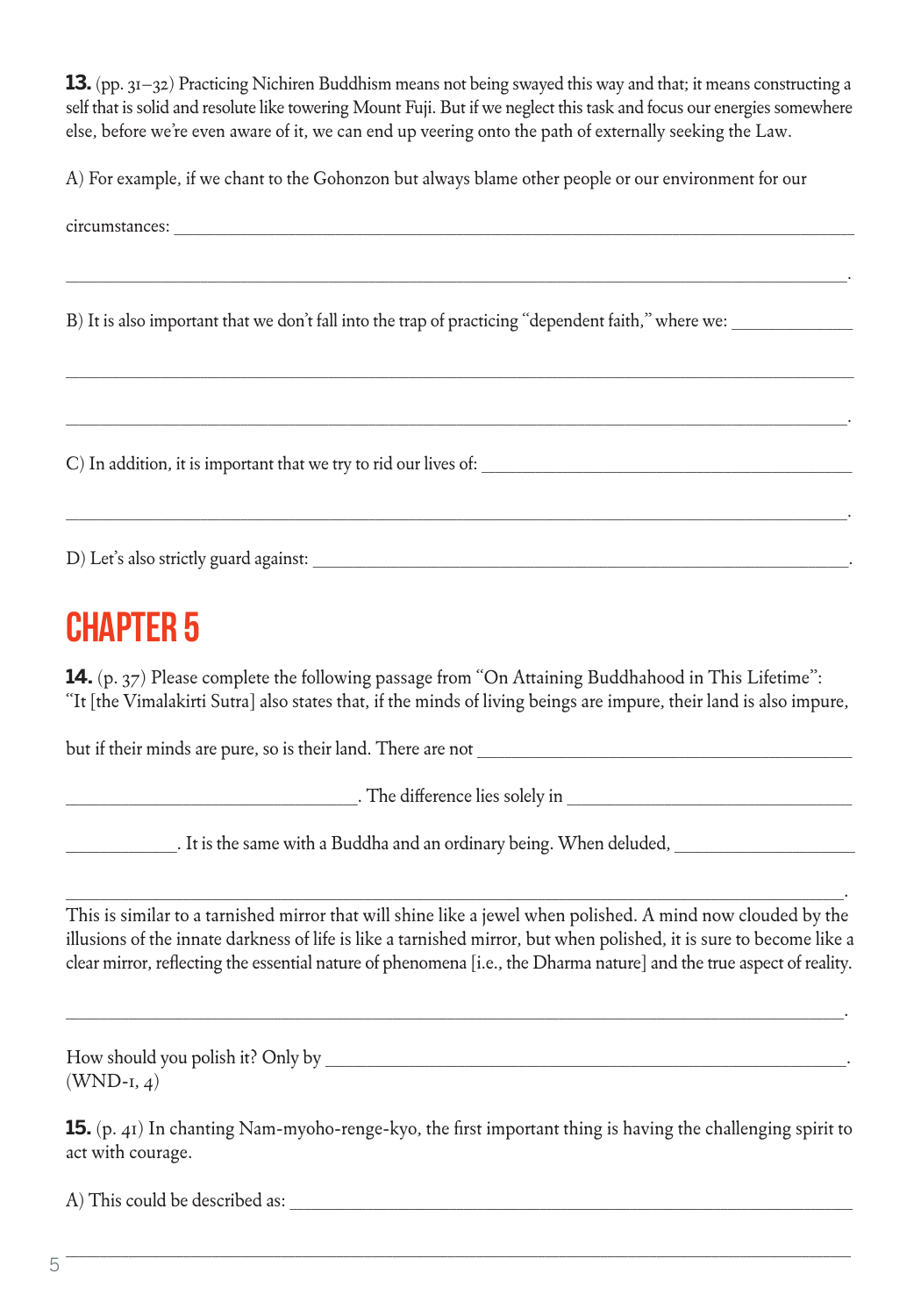**13.** (pp. 31–32) Practicing Nichiren Buddhism means not being swayed this way and that; it means constructing a self that is solid and resolute like towering Mount Fuji. But if we neglect this task and focus our energies somewhere else, before we're even aware of it, we can end up veering onto the path of externally seeking the Law.

A) For example, if we chant to the Gohonzon but always blame other people or our environment for our

| B) It is also important that we don't fall into the trap of practicing "dependent faith," where we:                                                                                                                                                                                                                                                        |  |  |
|------------------------------------------------------------------------------------------------------------------------------------------------------------------------------------------------------------------------------------------------------------------------------------------------------------------------------------------------------------|--|--|
|                                                                                                                                                                                                                                                                                                                                                            |  |  |
|                                                                                                                                                                                                                                                                                                                                                            |  |  |
| <b>CHAPTER 5</b>                                                                                                                                                                                                                                                                                                                                           |  |  |
| 14. (p. 37) Please complete the following passage from "On Attaining Buddhahood in This Lifetime":<br>"It [the Vimalakirti Sutra] also states that, if the minds of living beings are impure, their land is also impure,                                                                                                                                   |  |  |
|                                                                                                                                                                                                                                                                                                                                                            |  |  |
|                                                                                                                                                                                                                                                                                                                                                            |  |  |
| Let us the same with a Buddha and an ordinary being. When deluded, Let us and an ordinary being. When deluded,                                                                                                                                                                                                                                             |  |  |
| This is similar to a tarnished mirror that will shine like a jewel when polished. A mind now clouded by the<br>illusions of the innate darkness of life is like a tarnished mirror, but when polished, it is sure to become like a<br>clear mirror, reflecting the essential nature of phenomena [i.e., the Dharma nature] and the true aspect of reality. |  |  |
| $(WND-I, 4)$                                                                                                                                                                                                                                                                                                                                               |  |  |
| 15. (p. 41) In chanting Nam-myoho-renge-kyo, the first important thing is having the challenging spirit to<br>act with courage.                                                                                                                                                                                                                            |  |  |
|                                                                                                                                                                                                                                                                                                                                                            |  |  |

\_\_\_\_\_\_\_\_\_\_\_\_\_\_\_\_\_\_\_\_\_\_\_\_\_\_\_\_\_\_\_\_\_\_\_\_\_\_\_\_\_\_\_\_\_\_\_\_\_\_\_\_\_\_\_\_\_\_\_\_\_\_\_\_\_\_\_\_\_\_\_\_\_\_\_\_\_\_\_\_\_\_\_\_\_\_\_\_\_\_\_\_\_\_\_\_\_\_\_\_\_\_\_\_\_\_\_\_\_\_\_\_\_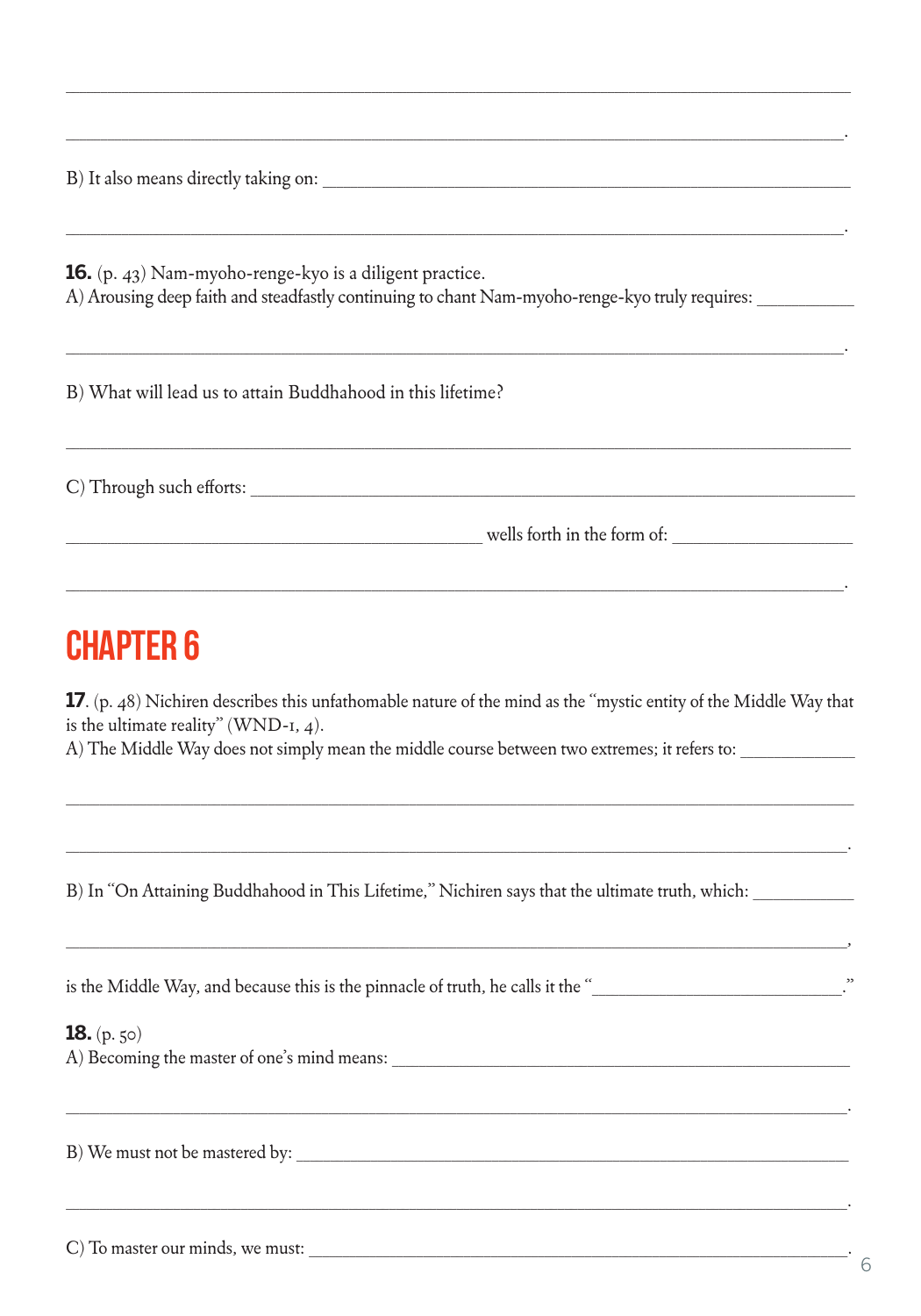**16.** (p. 43) Nam-myoho-renge-kyo is a diligent practice. A) Arousing deep faith and steadfastly continuing to chant Nam-myoho-renge-kyo truly requires:

B) What will lead us to attain Buddhahood in this lifetime?

C) Through such efforts:

wells forth in the form of:

#### **CHAPTER 6**

17. (p. 48) Nichiren describes this unfathomable nature of the mind as the "mystic entity of the Middle Way that is the ultimate reality" (WND-1,  $4$ ).

A) The Middle Way does not simply mean the middle course between two extremes; it refers to:

B) In "On Attaining Buddhahood in This Lifetime," Nichiren says that the ultimate truth, which:

| is the Middle Way, and because this is the pinnacle of truth, he calls it the " |  |
|---------------------------------------------------------------------------------|--|
|---------------------------------------------------------------------------------|--|

**18.**  $(p. 50)$ A) Becoming the master of one's mind means:

B) We must not be mastered by:

C) To master our minds, we must: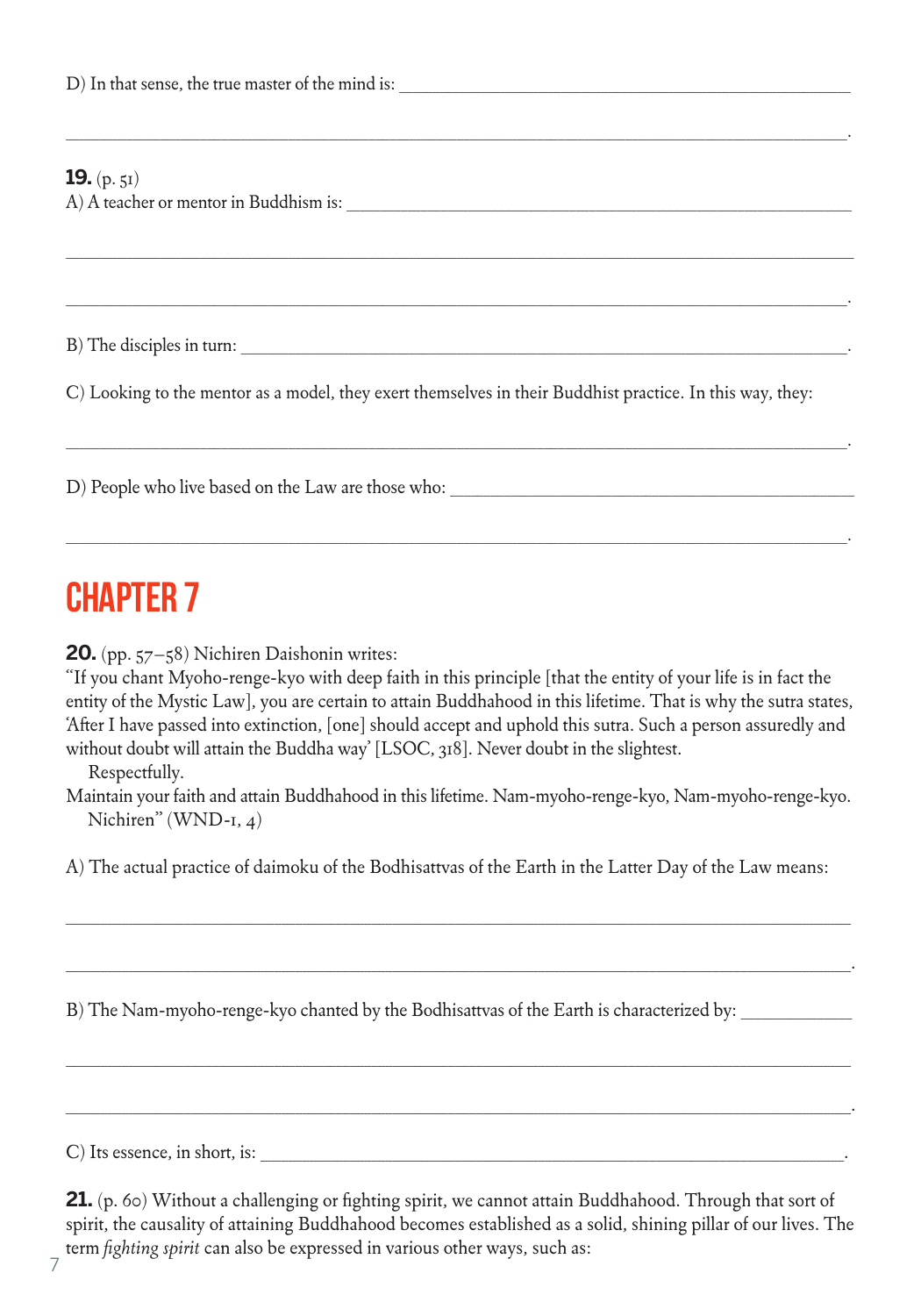#### **10.** (b)

| <b>15.</b> (p. 51)                                                                                        |  |
|-----------------------------------------------------------------------------------------------------------|--|
|                                                                                                           |  |
|                                                                                                           |  |
|                                                                                                           |  |
|                                                                                                           |  |
| C) Looking to the mentor as a model, they exert themselves in their Buddhist practice. In this way, they: |  |
|                                                                                                           |  |

\_\_\_\_\_\_\_\_\_\_\_\_\_\_\_\_\_\_\_\_\_\_\_\_\_\_\_\_\_\_\_\_\_\_\_\_\_\_\_\_\_\_\_\_\_\_\_\_\_\_\_\_\_\_\_\_\_\_\_\_\_\_\_\_\_\_\_\_\_\_\_\_\_\_\_\_\_\_\_\_\_\_\_\_\_\_\_\_\_\_\_\_\_\_\_\_\_\_\_\_\_\_\_\_\_\_\_\_\_\_\_\_\_\_\_\_.

# **CHAPTER 7**

**20.** (pp. 57–58) Nichiren Daishonin writes:

"If you chant Myoho-renge-kyo with deep faith in this principle [that the entity of your life is in fact the entity of the Mystic Law], you are certain to attain Buddhahood in this lifetime. That is why the sutra states, 'After I have passed into extinction, [one] should accept and uphold this sutra. Such a person assuredly and without doubt will attain the Buddha way' [LSOC, 318]. Never doubt in the slightest.

\_\_\_\_\_\_\_\_\_\_\_\_\_\_\_\_\_\_\_\_\_\_\_\_\_\_\_\_\_\_\_\_\_\_\_\_\_\_\_\_\_\_\_\_\_\_\_\_\_\_\_\_\_\_\_\_\_\_\_\_\_\_\_\_\_\_\_\_\_\_\_\_\_\_\_\_\_\_\_\_\_\_\_\_\_\_\_\_\_\_\_\_\_\_\_\_\_\_\_\_\_\_\_\_\_\_\_\_\_\_\_\_\_\_\_\_.

Respectfully.

Maintain your faith and attain Buddhahood in this lifetime. Nam-myoho-renge-kyo, Nam-myoho-renge-kyo. Nichiren" (WND-1, 4)

A) The actual practice of daimoku of the Bodhisattvas of the Earth in the Latter Day of the Law means:

\_\_\_\_\_\_\_\_\_\_\_\_\_\_\_\_\_\_\_\_\_\_\_\_\_\_\_\_\_\_\_\_\_\_\_\_\_\_\_\_\_\_\_\_\_\_\_\_\_\_\_\_\_\_\_\_\_\_\_\_\_\_\_\_\_\_\_\_\_\_\_\_\_\_\_\_\_\_\_\_\_\_\_\_\_\_\_\_\_\_\_\_\_\_\_\_\_\_\_\_\_\_\_\_\_\_\_\_\_\_\_\_\_

\_\_\_\_\_\_\_\_\_\_\_\_\_\_\_\_\_\_\_\_\_\_\_\_\_\_\_\_\_\_\_\_\_\_\_\_\_\_\_\_\_\_\_\_\_\_\_\_\_\_\_\_\_\_\_\_\_\_\_\_\_\_\_\_\_\_\_\_\_\_\_\_\_\_\_\_\_\_\_\_\_\_\_\_\_\_\_\_\_\_\_\_\_\_\_\_\_\_\_\_\_\_\_\_\_\_\_\_\_\_\_\_\_.

\_\_\_\_\_\_\_\_\_\_\_\_\_\_\_\_\_\_\_\_\_\_\_\_\_\_\_\_\_\_\_\_\_\_\_\_\_\_\_\_\_\_\_\_\_\_\_\_\_\_\_\_\_\_\_\_\_\_\_\_\_\_\_\_\_\_\_\_\_\_\_\_\_\_\_\_\_\_\_\_\_\_\_\_\_\_\_\_\_\_\_\_\_\_\_\_\_\_\_\_\_\_\_\_\_\_\_\_\_\_\_\_\_

\_\_\_\_\_\_\_\_\_\_\_\_\_\_\_\_\_\_\_\_\_\_\_\_\_\_\_\_\_\_\_\_\_\_\_\_\_\_\_\_\_\_\_\_\_\_\_\_\_\_\_\_\_\_\_\_\_\_\_\_\_\_\_\_\_\_\_\_\_\_\_\_\_\_\_\_\_\_\_\_\_\_\_\_\_\_\_\_\_\_\_\_\_\_\_\_\_\_\_\_\_\_\_\_\_\_\_\_\_\_\_\_\_.

B) The Nam-myoho-renge-kyo chanted by the Bodhisattvas of the Earth is characterized by:

C) Its essence, in short, is:

**21.** (p. 60) Without a challenging or fighting spirit, we cannot attain Buddhahood. Through that sort of spirit, the causality of attaining Buddhahood becomes established as a solid, shining pillar of our lives. The term *fighting spirit* can also be expressed in various other ways, such as: 7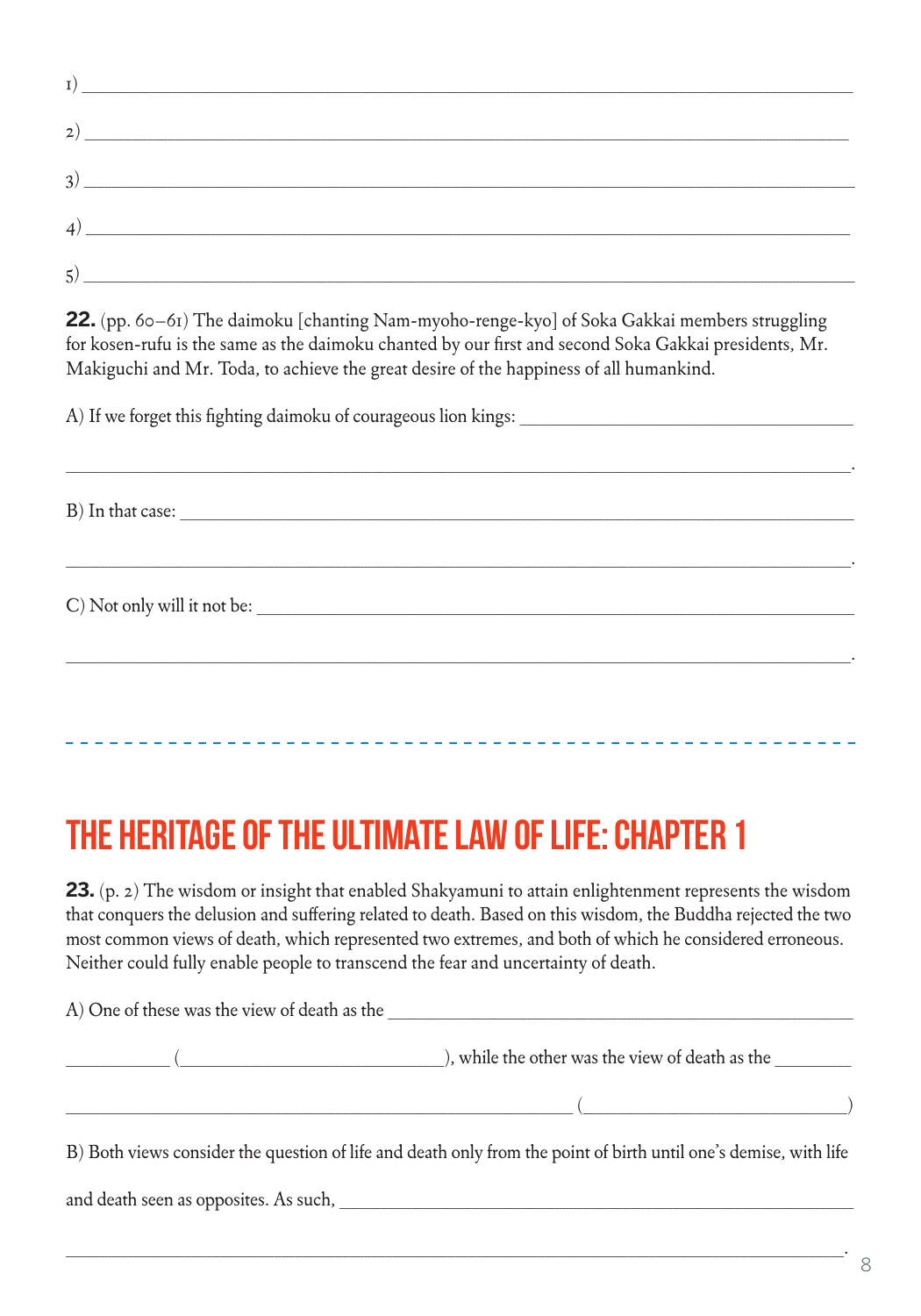| 2)            |                                                                                                                       |
|---------------|-----------------------------------------------------------------------------------------------------------------------|
| 3)            | <u> 1980 - Johann John Stein, markin film yn y brenin y brenin y brenin y brenin y brenin y brenin y brenin y bre</u> |
| 4)            | the control of the control of the control of the control of the control of                                            |
| $\mathcal{L}$ |                                                                                                                       |

**22.** (pp. 60–61) The daimoku [chanting Nam-myoho-renge-kyo] of Soka Gakkai members struggling for kosen-rufu is the same as the daimoku chanted by our first and second Soka Gakkai presidents, Mr. Makiguchi and Mr. Toda, to achieve the great desire of the happiness of all humankind.

\_\_\_\_\_\_\_\_\_\_\_\_\_\_\_\_\_\_\_\_\_\_\_\_\_\_\_\_\_\_\_\_\_\_\_\_\_\_\_\_\_\_\_\_\_\_\_\_\_\_\_\_\_\_\_\_\_\_\_\_\_\_\_\_\_\_\_\_\_\_\_\_\_\_\_\_\_\_\_\_\_\_\_\_\_\_\_\_\_\_\_\_\_\_\_\_\_\_\_\_\_\_\_\_\_\_\_\_\_\_\_\_\_.

\_\_\_\_\_\_\_\_\_\_\_\_\_\_\_\_\_\_\_\_\_\_\_\_\_\_\_\_\_\_\_\_\_\_\_\_\_\_\_\_\_\_\_\_\_\_\_\_\_\_\_\_\_\_\_\_\_\_\_\_\_\_\_\_\_\_\_\_\_\_\_\_\_\_\_\_\_\_\_\_\_\_\_\_\_\_\_\_\_\_\_\_\_\_\_\_\_\_\_\_\_\_\_\_\_\_\_\_\_\_\_\_\_.

\_\_\_\_\_\_\_\_\_\_\_\_\_\_\_\_\_\_\_\_\_\_\_\_\_\_\_\_\_\_\_\_\_\_\_\_\_\_\_\_\_\_\_\_\_\_\_\_\_\_\_\_\_\_\_\_\_\_\_\_\_\_\_\_\_\_\_\_\_\_\_\_\_\_\_\_\_\_\_\_\_\_\_\_\_\_\_\_\_\_\_\_\_\_\_\_\_\_\_\_\_\_\_\_\_\_\_\_\_\_\_\_\_.

A) If we forget this fighting daimoku of courageous lion kings:

B) In that case:

C) Not only will it not be:

# The heritage of the ultimate law of life: Chapter 1

**23.** (p. 2) The wisdom or insight that enabled Shakyamuni to attain enlightenment represents the wisdom that conquers the delusion and suffering related to death. Based on this wisdom, the Buddha rejected the two most common views of death, which represented two extremes, and both of which he considered erroneous. Neither could fully enable people to transcend the fear and uncertainty of death.

 $A)$  One of these was the view of death as the

 $($  and  $)$ , while the other was the view of death as the  $\frac{1}{2}$ 

 $($ 

B) Both views consider the question of life and death only from the point of birth until one's demise, with life

and death seen as opposites. As such, \_\_\_\_\_\_\_\_\_\_\_\_\_\_\_\_\_\_\_\_\_\_\_\_\_\_\_\_\_\_\_\_\_\_\_\_\_\_\_\_\_\_\_\_\_\_\_\_\_\_\_\_\_\_\_\_\_\_\_\_\_\_\_\_\_\_\_\_\_\_\_\_\_\_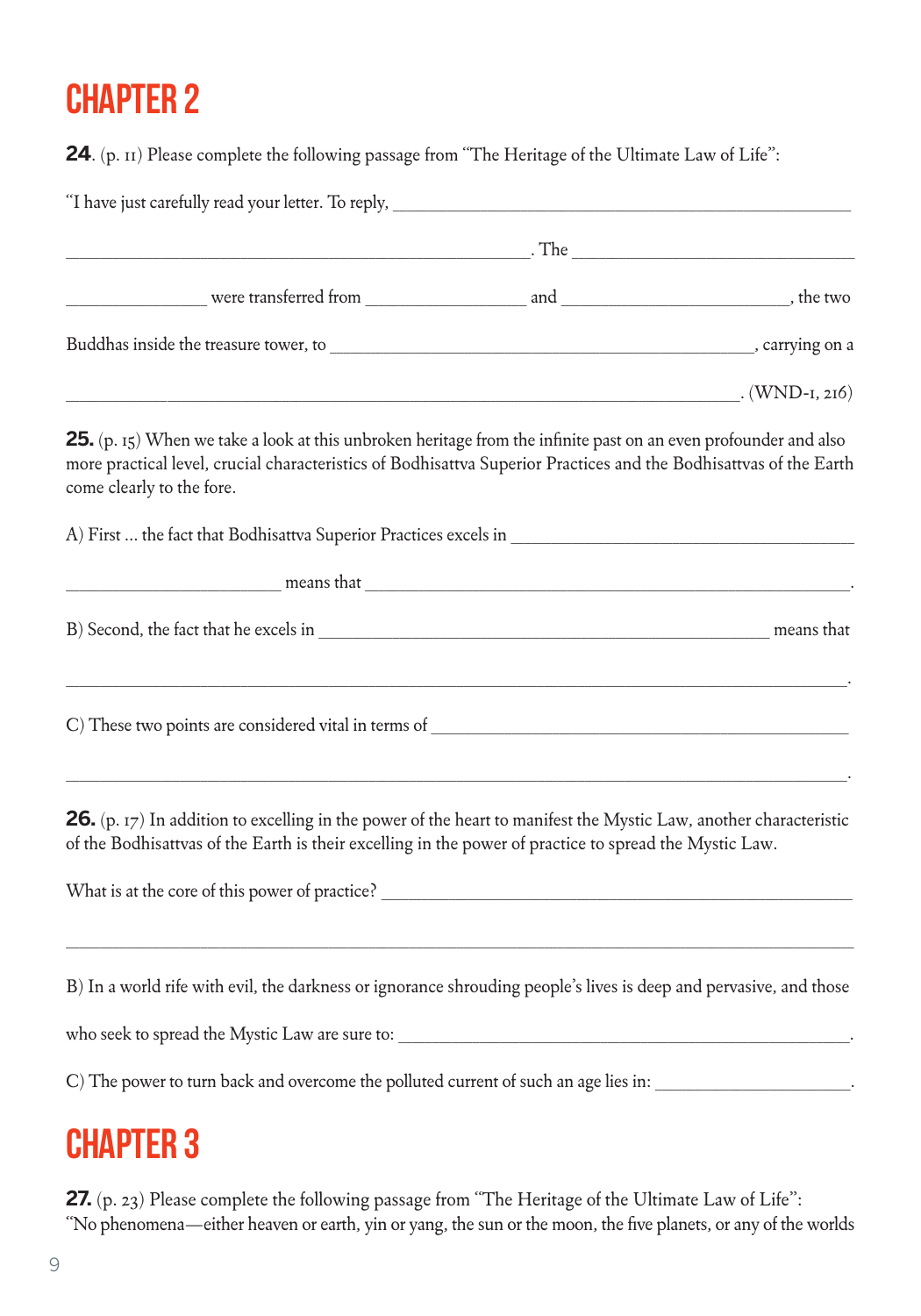**24**. (p. 11) Please complete the following passage from "The Heritage of the Ultimate Law of Life":

| Buddhas inside the treasure tower, to subsequently and the control of the control of the control of the control of the control of the control of the control of the control of the control of the control of the control of th              |
|---------------------------------------------------------------------------------------------------------------------------------------------------------------------------------------------------------------------------------------------|
| $(WND-I, 2I6)$                                                                                                                                                                                                                              |
| <b>25.</b> (p. 15) When we take a look at this unbroken heritage from the infinite past on an even profounder and also<br>more practical level, crucial characteristics of Bodhisattva Superior Practices and the Bodhisattvas of the Earth |
|                                                                                                                                                                                                                                             |
|                                                                                                                                                                                                                                             |
|                                                                                                                                                                                                                                             |
|                                                                                                                                                                                                                                             |
| means that means that the contract of the contract of the contract of the contract of the contract of the contract of the contract of the contract of the contract of the contract of the contract of the contract of the cont              |

**26.** (p. 17) In addition to excelling in the power of the heart to manifest the Mystic Law, another characteristic of the Bodhisattvas of the Earth is their excelling in the power of practice to spread the Mystic Law.

What is at the core of this power of practice? \_\_\_\_\_\_\_\_\_\_\_\_\_\_\_\_\_\_\_\_\_\_\_\_\_\_\_\_\_\_\_\_\_

B) In a world rife with evil, the darkness or ignorance shrouding people's lives is deep and pervasive, and those

 $\_$  ,  $\_$  ,  $\_$  ,  $\_$  ,  $\_$  ,  $\_$  ,  $\_$  ,  $\_$  ,  $\_$  ,  $\_$  ,  $\_$  ,  $\_$  ,  $\_$  ,  $\_$  ,  $\_$  ,  $\_$  ,  $\_$  ,  $\_$  ,  $\_$  ,  $\_$  ,  $\_$  ,  $\_$  ,  $\_$  ,  $\_$  ,  $\_$  ,  $\_$  ,  $\_$  ,  $\_$  ,  $\_$  ,  $\_$  ,  $\_$  ,  $\_$  ,  $\_$  ,  $\_$  ,  $\_$  ,  $\_$  ,  $\_$  ,

who seek to spread the Mystic Law are sure to:

C) The power to turn back and overcome the polluted current of such an age lies in:

# Chapter 3

**27.** (p. 23) Please complete the following passage from "The Heritage of the Ultimate Law of Life": "No phenomena—either heaven or earth, yin or yang, the sun or the moon, the five planets, or any of the worlds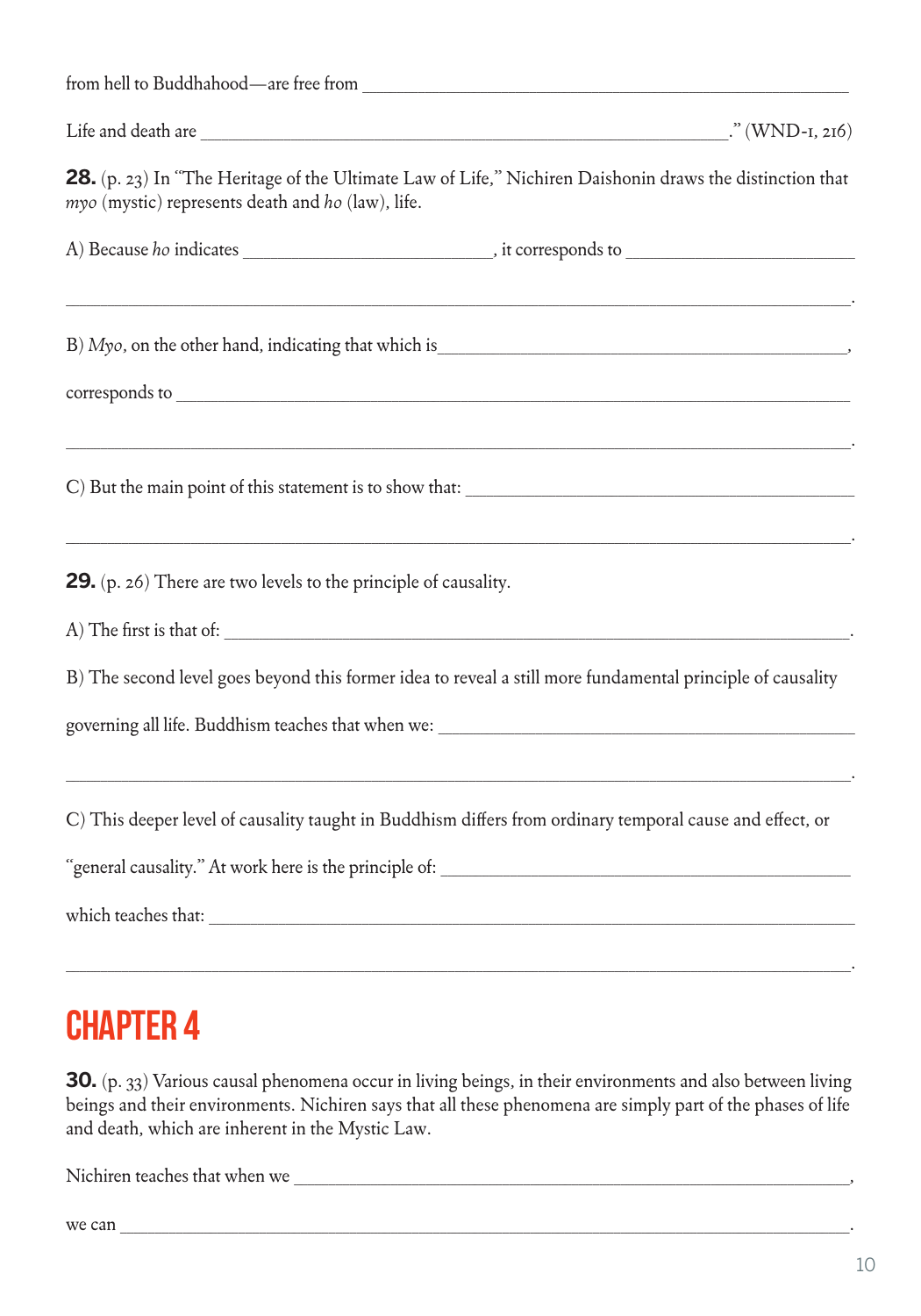| myo (mystic) represents death and ho (law), life.               | 28. (p. 23) In "The Heritage of the Ultimate Law of Life," Nichiren Daishonin draws the distinction that   |
|-----------------------------------------------------------------|------------------------------------------------------------------------------------------------------------|
|                                                                 |                                                                                                            |
|                                                                 |                                                                                                            |
|                                                                 |                                                                                                            |
|                                                                 |                                                                                                            |
| 29. (p. 26) There are two levels to the principle of causality. |                                                                                                            |
|                                                                 |                                                                                                            |
|                                                                 | B) The second level goes beyond this former idea to reveal a still more fundamental principle of causality |
|                                                                 | governing all life. Buddhism teaches that when we:                                                         |
|                                                                 | C) This deeper level of causality taught in Buddhism differs from ordinary temporal cause and effect, or   |
|                                                                 |                                                                                                            |
|                                                                 |                                                                                                            |
|                                                                 |                                                                                                            |

**30.** (p. 33) Various causal phenomena occur in living beings, in their environments and also between living beings and their environments. Nichiren says that all these phenomena are simply part of the phases of life and death, which are inherent in the Mystic Law.

Nichiren teaches that when we \_\_\_\_\_\_\_\_\_\_\_\_\_\_\_\_\_\_\_\_\_\_\_\_\_\_\_\_\_\_\_\_\_\_\_\_\_\_\_\_\_\_\_\_\_\_\_\_\_\_\_\_\_\_\_\_\_\_\_\_\_\_\_\_\_\_\_\_\_\_\_\_\_\_\_\_\_\_\_\_,

we can  $\frac{1}{\sqrt{2}}$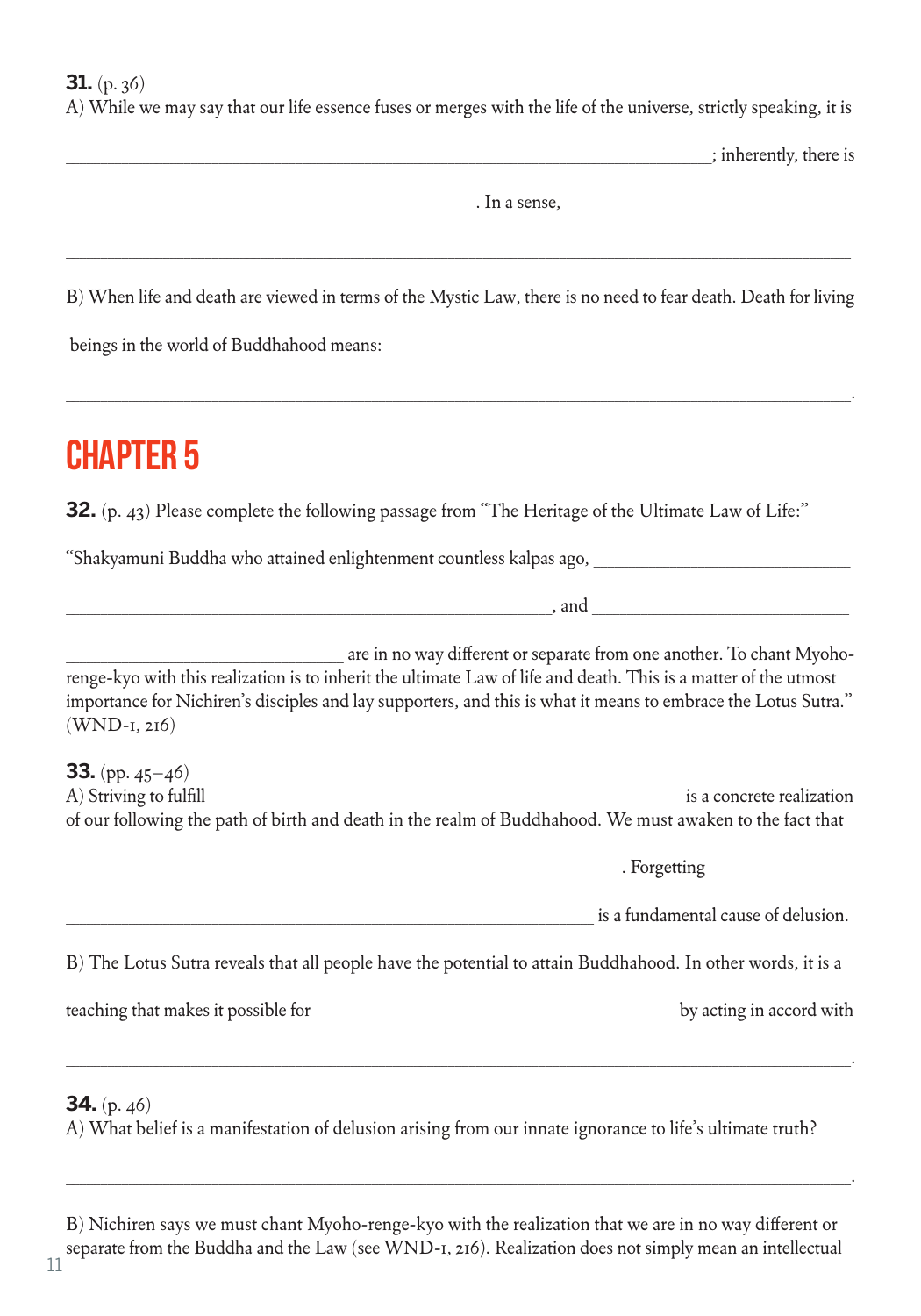**31.** (p. 36)

A) While we may say that our life essence fuses or merges with the life of the universe, strictly speaking, it is

| ; inherently, there is                                                                                                                                                                                                                                                                                                        |
|-------------------------------------------------------------------------------------------------------------------------------------------------------------------------------------------------------------------------------------------------------------------------------------------------------------------------------|
| $\mathbf{I}$ in a sense,                                                                                                                                                                                                                                                                                                      |
|                                                                                                                                                                                                                                                                                                                               |
| B) When life and death are viewed in terms of the Mystic Law, there is no need to fear death. Death for living                                                                                                                                                                                                                |
|                                                                                                                                                                                                                                                                                                                               |
| <b>CHAPTER 5</b>                                                                                                                                                                                                                                                                                                              |
| <b>32.</b> (p. 43) Please complete the following passage from "The Heritage of the Ultimate Law of Life:"                                                                                                                                                                                                                     |
| "Shakyamuni Buddha who attained enlightenment countless kalpas ago, _______                                                                                                                                                                                                                                                   |
| $\mathcal{L}$ and $\mathcal{L}$ and $\mathcal{L}$ and $\mathcal{L}$ and $\mathcal{L}$ and $\mathcal{L}$ and $\mathcal{L}$                                                                                                                                                                                                     |
| are in no way different or separate from one another. To chant Myoho-<br>renge-kyo with this realization is to inherit the ultimate Law of life and death. This is a matter of the utmost<br>importance for Nichiren's disciples and lay supporters, and this is what it means to embrace the Lotus Sutra."<br>$(WND-I, 2I6)$ |
| <b>33.</b> (pp. $45-46$ )<br>A) Striving to fulfill<br>is a concrete realization<br>of our following the path of birth and death in the realm of Buddhahood. We must awaken to the fact that                                                                                                                                  |
| . Forgetting                                                                                                                                                                                                                                                                                                                  |
| is a fundamental cause of delusion.                                                                                                                                                                                                                                                                                           |
| B) The Lotus Sutra reveals that all people have the potential to attain Buddhahood. In other words, it is a                                                                                                                                                                                                                   |
| by acting in accord with                                                                                                                                                                                                                                                                                                      |
|                                                                                                                                                                                                                                                                                                                               |
| <b>34.</b> (p. $46$ )                                                                                                                                                                                                                                                                                                         |

A) What belief is a manifestation of delusion arising from our innate ignorance to life's ultimate truth?

\_\_\_\_\_\_\_\_\_\_\_\_\_\_\_\_\_\_\_\_\_\_\_\_\_\_\_\_\_\_\_\_\_\_\_\_\_\_\_\_\_\_\_\_\_\_\_\_\_\_\_\_\_\_\_\_\_\_\_\_\_\_\_\_\_\_\_\_\_\_\_\_\_\_\_\_\_\_\_\_\_\_\_\_\_\_\_\_\_\_\_\_\_\_\_\_\_\_\_\_\_\_\_\_\_\_\_\_\_\_\_\_\_.

B) Nichiren says we must chant Myoho-renge-kyo with the realization that we are in no way different or separate from the Buddha and the Law (see WND-1, 216). Realization does not simply mean an intellectual 11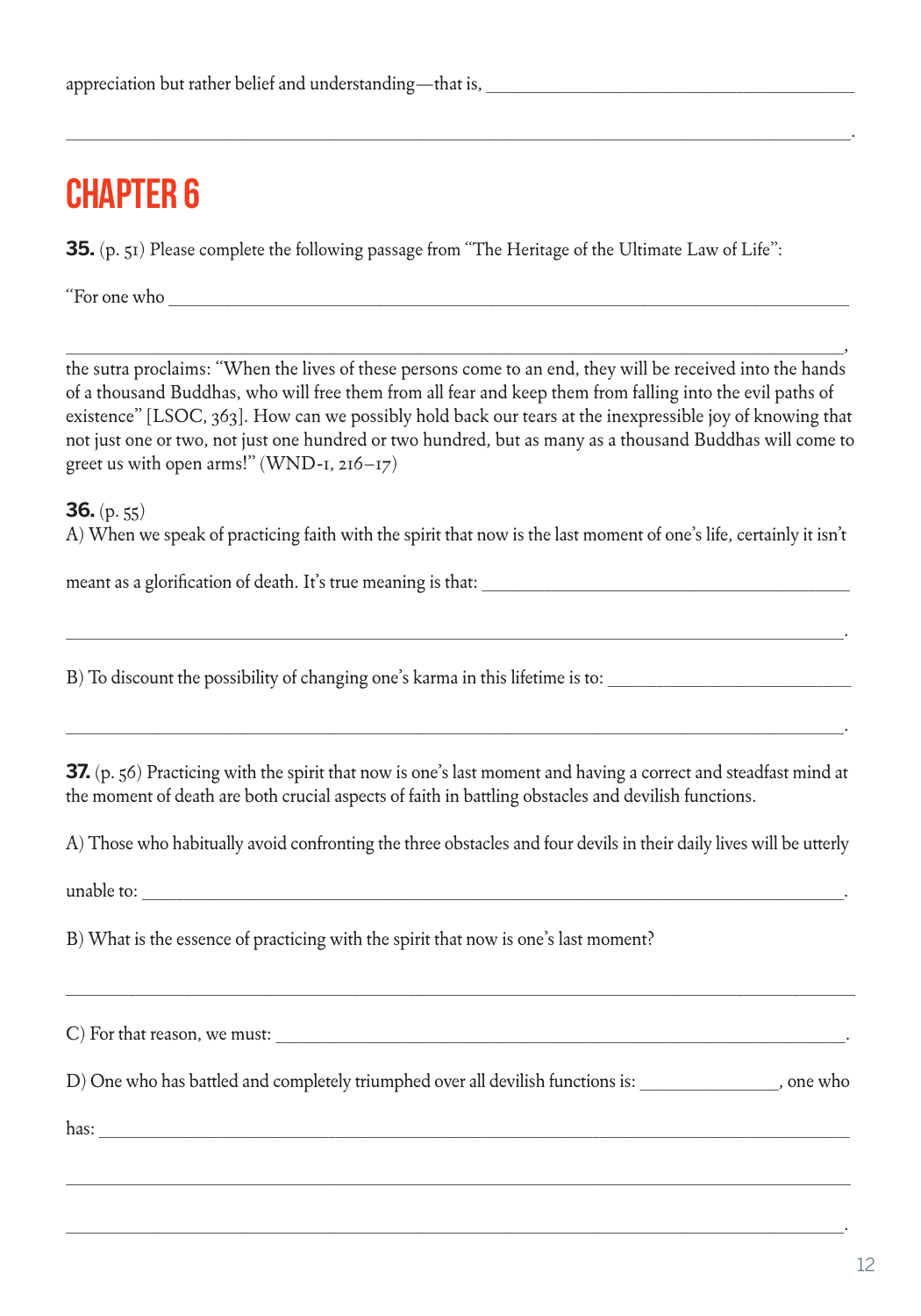## Chapter 6

**35.** (p. 51) Please complete the following passage from "The Heritage of the Ultimate Law of Life":

"For one who

\_\_\_\_\_\_\_\_\_\_\_\_\_\_\_\_\_\_\_\_\_\_\_\_\_\_\_\_\_\_\_\_\_\_\_\_\_\_\_\_\_\_\_\_\_\_\_\_\_\_\_\_\_\_\_\_\_\_\_\_\_\_\_\_\_\_\_\_\_\_\_\_\_\_\_\_\_\_\_\_\_\_\_\_\_\_\_\_\_\_\_\_\_\_\_\_\_\_\_\_\_\_\_\_\_\_\_\_\_\_\_\_, the sutra proclaims: "When the lives of these persons come to an end, they will be received into the hands of a thousand Buddhas, who will free them from all fear and keep them from falling into the evil paths of existence" [LSOC, 363]. How can we possibly hold back our tears at the inexpressible joy of knowing that not just one or two, not just one hundred or two hundred, but as many as a thousand Buddhas will come to greet us with open arms!" (WND-1,  $216-17$ )

\_\_\_\_\_\_\_\_\_\_\_\_\_\_\_\_\_\_\_\_\_\_\_\_\_\_\_\_\_\_\_\_\_\_\_\_\_\_\_\_\_\_\_\_\_\_\_\_\_\_\_\_\_\_\_\_\_\_\_\_\_\_\_\_\_\_\_\_\_\_\_\_\_\_\_\_\_\_\_\_\_\_\_\_\_\_\_\_\_\_\_\_\_\_\_\_\_\_\_\_\_\_\_\_\_\_\_\_\_\_\_\_\_.

**36.** (p. 55) A) When we speak of practicing faith with the spirit that now is the last moment of one's life, certainly it isn't

\_\_\_\_\_\_\_\_\_\_\_\_\_\_\_\_\_\_\_\_\_\_\_\_\_\_\_\_\_\_\_\_\_\_\_\_\_\_\_\_\_\_\_\_\_\_\_\_\_\_\_\_\_\_\_\_\_\_\_\_\_\_\_\_\_\_\_\_\_\_\_\_\_\_\_\_\_\_\_\_\_\_\_\_\_\_\_\_\_\_\_\_\_\_\_\_\_\_\_\_\_\_\_\_\_\_\_\_\_\_\_\_.

meant as a glorification of death. It's true meaning is that:

B) To discount the possibility of changing one's karma in this lifetime is to: \_\_\_\_\_\_\_\_\_\_\_\_\_\_\_\_\_\_\_\_\_\_\_\_\_\_\_\_\_\_\_

**37.** (p. 56) Practicing with the spirit that now is one's last moment and having a correct and steadfast mind at the moment of death are both crucial aspects of faith in battling obstacles and devilish functions.

\_\_\_\_\_\_\_\_\_\_\_\_\_\_\_\_\_\_\_\_\_\_\_\_\_\_\_\_\_\_\_\_\_\_\_\_\_\_\_\_\_\_\_\_\_\_\_\_\_\_\_\_\_\_\_\_\_\_\_\_\_\_\_\_\_\_\_\_\_\_\_\_\_\_\_\_\_\_\_\_\_\_\_\_\_\_\_\_\_\_\_\_\_\_\_\_\_\_\_\_\_\_\_\_\_\_\_\_\_\_\_\_.

A) Those who habitually avoid confronting the three obstacles and four devils in their daily lives will be utterly

unable to:

B) What is the essence of practicing with the spirit that now is one's last moment?

 $(C)$  For that reason, we must:  $\frac{1}{\sqrt{1-\frac{1}{2}}\cdot\frac{1}{\sqrt{1-\frac{1}{2}}}}$ 

D) One who has battled and completely triumphed over all devilish functions is: \_\_\_\_\_\_\_\_\_\_\_\_\_\_\_\_\_\_\_\_, one who

\_\_\_\_\_\_\_\_\_\_\_\_\_\_\_\_\_\_\_\_\_\_\_\_\_\_\_\_\_\_\_\_\_\_\_\_\_\_\_\_\_\_\_\_\_\_\_\_\_\_\_\_\_\_\_\_\_\_\_\_\_\_\_\_\_\_\_\_\_\_\_\_\_\_\_\_\_\_\_\_\_\_\_\_\_\_\_\_\_\_\_\_\_\_\_\_\_\_\_\_\_\_\_\_\_\_\_\_\_\_\_\_\_

\_\_\_\_\_\_\_\_\_\_\_\_\_\_\_\_\_\_\_\_\_\_\_\_\_\_\_\_\_\_\_\_\_\_\_\_\_\_\_\_\_\_\_\_\_\_\_\_\_\_\_\_\_\_\_\_\_\_\_\_\_\_\_\_\_\_\_\_\_\_\_\_\_\_\_\_\_\_\_\_\_\_\_\_\_\_\_\_\_\_\_\_\_\_\_\_\_\_\_\_\_\_\_\_\_\_\_\_\_\_\_\_.

\_\_\_\_\_\_\_\_\_\_\_\_\_\_\_\_\_\_\_\_\_\_\_\_\_\_\_\_\_\_\_\_\_\_\_\_\_\_\_\_\_\_\_\_\_\_\_\_\_\_\_\_\_\_\_\_\_\_\_\_\_\_\_\_\_\_\_\_\_\_\_\_\_\_\_\_\_\_\_\_\_\_\_\_\_\_\_\_\_\_\_\_\_\_\_\_\_\_\_\_\_\_\_\_\_\_\_\_\_\_\_\_\_

has:  $\Box$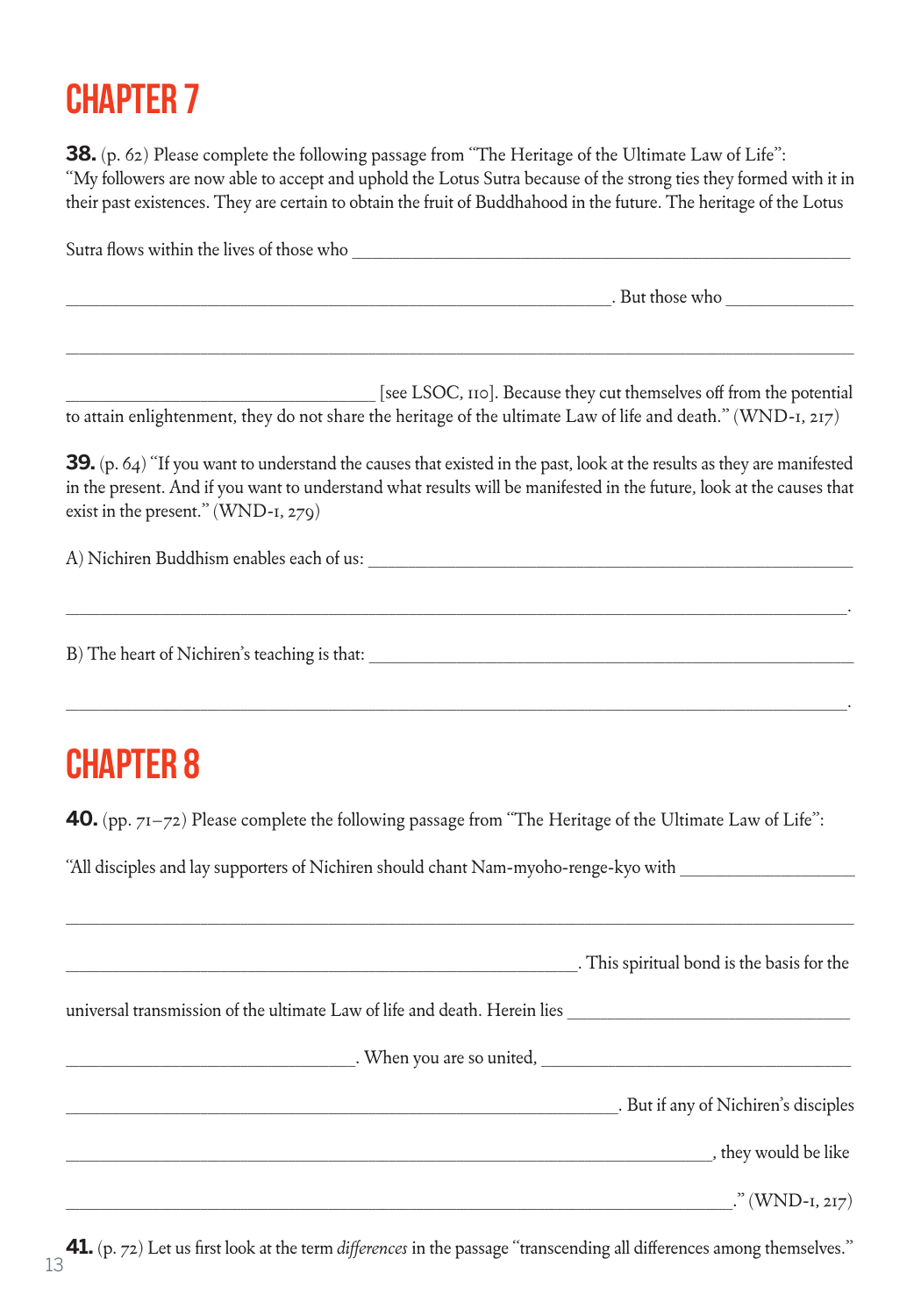# Chapter 7

**38.** (p. 62) Please complete the following passage from "The Heritage of the Ultimate Law of Life": "My followers are now able to accept and uphold the Lotus Sutra because of the strong ties they formed with it in their past existences. They are certain to obtain the fruit of Buddhahood in the future. The heritage of the Lotus

Sutra flows within the lives of those who \_\_\_\_\_\_\_\_\_\_\_\_\_\_\_\_\_\_\_\_\_\_\_\_\_\_\_\_\_\_\_\_\_\_\_\_\_\_\_\_\_\_\_\_\_\_\_\_\_\_\_\_\_\_\_\_\_\_\_\_\_\_\_\_\_\_\_\_\_\_\_\_\_\_

. But those who

\_\_\_\_\_\_\_\_\_\_\_\_\_\_\_\_\_\_\_\_\_\_\_\_\_\_\_\_\_\_\_\_\_\_\_\_\_\_\_\_\_\_\_\_\_\_ [see LSOC, 110]. Because they cut themselves off from the potential to attain enlightenment, they do not share the heritage of the ultimate Law of life and death." (WND-1, 217)

\_\_\_\_\_\_\_\_\_\_\_\_\_\_\_\_\_\_\_\_\_\_\_\_\_\_\_\_\_\_\_\_\_\_\_\_\_\_\_\_\_\_\_\_\_\_\_\_\_\_\_\_\_\_\_\_\_\_\_\_\_\_\_\_\_\_\_\_\_\_\_\_\_\_\_\_\_\_\_\_\_\_\_\_\_\_\_\_\_\_\_\_\_\_\_\_\_\_\_\_\_\_\_\_\_\_\_\_\_\_\_\_\_\_\_\_\_

**39.** (p. 64) "If you want to understand the causes that existed in the past, look at the results as they are manifested in the present. And if you want to understand what results will be manifested in the future, look at the causes that exist in the present." (WND-1, 279)

\_\_\_\_\_\_\_\_\_\_\_\_\_\_\_\_\_\_\_\_\_\_\_\_\_\_\_\_\_\_\_\_\_\_\_\_\_\_\_\_\_\_\_\_\_\_\_\_\_\_\_\_\_\_\_\_\_\_\_\_\_\_\_\_\_\_\_\_\_\_\_\_\_\_\_\_\_\_\_\_\_\_\_\_\_\_\_\_\_\_\_\_\_\_\_\_\_\_\_\_\_\_\_\_\_\_\_\_\_\_\_\_\_\_\_\_.

\_\_\_\_\_\_\_\_\_\_\_\_\_\_\_\_\_\_\_\_\_\_\_\_\_\_\_\_\_\_\_\_\_\_\_\_\_\_\_\_\_\_\_\_\_\_\_\_\_\_\_\_\_\_\_\_\_\_\_\_\_\_\_\_\_\_\_\_\_\_\_\_\_\_\_\_\_\_\_\_\_\_\_\_\_\_\_\_\_\_\_\_\_\_\_\_\_\_\_\_\_\_\_\_\_\_\_\_\_\_\_\_\_\_\_\_.

A) Nichiren Buddhism enables each of us:

B) The heart of Nichiren's teaching is that: \_\_\_\_\_\_\_\_\_\_\_\_\_\_\_\_\_\_\_\_\_\_\_\_\_\_\_\_\_\_\_\_\_\_\_\_\_\_\_\_\_\_\_\_\_\_\_\_\_\_\_\_\_\_\_\_\_\_\_\_\_\_\_\_\_\_\_\_\_\_\_\_

## **CHAPTER 8**

**40.** (pp. 71–72) Please complete the following passage from "The Heritage of the Ultimate Law of Life":

"All disciples and lay supporters of Nichiren should chant Nam-myoho-renge-kyo with \_\_\_\_\_\_\_\_\_\_\_\_\_\_\_\_\_\_\_\_\_\_\_\_\_\_

|                                                                           | . This spiritual bond is the basis for the |
|---------------------------------------------------------------------------|--------------------------------------------|
| universal transmission of the ultimate Law of life and death. Herein lies |                                            |
|                                                                           | When you are so united,                    |
|                                                                           | . But if any of Nichiren's disciples       |
|                                                                           | _, they would be like                      |
|                                                                           | $\ldots$ " (WND-1, 217)                    |

 $\_$  ,  $\_$  ,  $\_$  ,  $\_$  ,  $\_$  ,  $\_$  ,  $\_$  ,  $\_$  ,  $\_$  ,  $\_$  ,  $\_$  ,  $\_$  ,  $\_$  ,  $\_$  ,  $\_$  ,  $\_$  ,  $\_$  ,  $\_$  ,  $\_$  ,  $\_$  ,  $\_$  ,  $\_$  ,  $\_$  ,  $\_$  ,  $\_$  ,  $\_$  ,  $\_$  ,  $\_$  ,  $\_$  ,  $\_$  ,  $\_$  ,  $\_$  ,  $\_$  ,  $\_$  ,  $\_$  ,  $\_$  ,  $\_$  ,

**41.** (p. 72) Let us first look at the term *differences* in the passage "transcending all differences among themselves." 13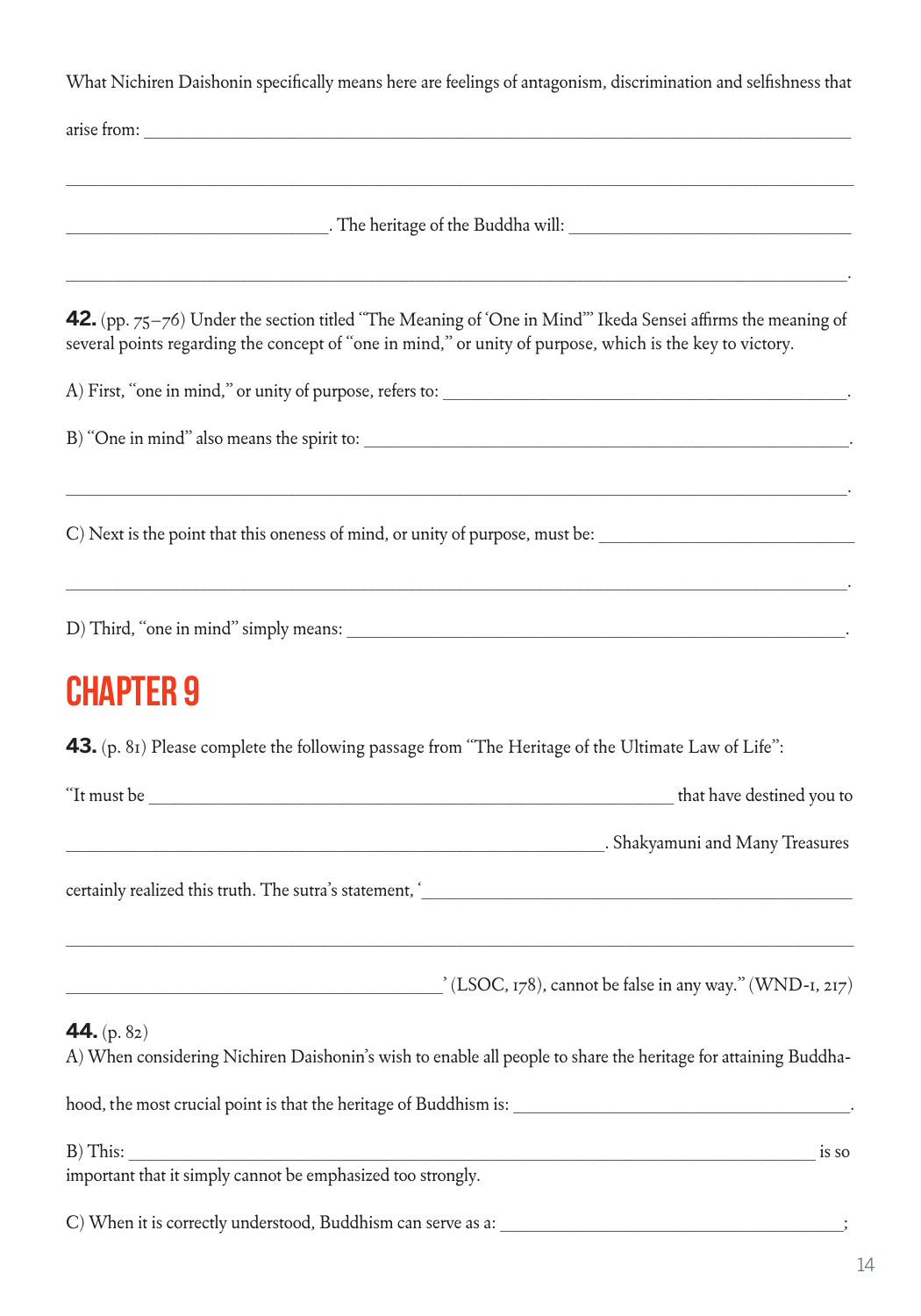What Nichiren Daishonin specifically means here are feelings of antagonism, discrimination and selfishness that

| <b>42.</b> (pp. $75-76$ ) Under the section titled "The Meaning of 'One in Mind" Ikeda Sensei affirms the meaning of<br>several points regarding the concept of "one in mind," or unity of purpose, which is the key to victory. |  |  |
|----------------------------------------------------------------------------------------------------------------------------------------------------------------------------------------------------------------------------------|--|--|
|                                                                                                                                                                                                                                  |  |  |
| B) "One in mind" also means the spirit to:                                                                                                                                                                                       |  |  |
| C) Next is the point that this oneness of mind, or unity of purpose, must be:                                                                                                                                                    |  |  |
|                                                                                                                                                                                                                                  |  |  |
| <b>CHAPTER 9</b>                                                                                                                                                                                                                 |  |  |
| 43. (p. 81) Please complete the following passage from "The Heritage of the Ultimate Law of Life":                                                                                                                               |  |  |
| that have destined you to                                                                                                                                                                                                        |  |  |
| Example 2013 . Shakyamuni and Many Treasures . Shakyamuni and Many Treasures                                                                                                                                                     |  |  |
|                                                                                                                                                                                                                                  |  |  |
| $\angle$ (LSOC, 178), cannot be false in any way." (WND-1, 217)                                                                                                                                                                  |  |  |
| 44. $(p. 82)$<br>A) When considering Nichiren Daishonin's wish to enable all people to share the heritage for attaining Buddha-                                                                                                  |  |  |
| hood, the most crucial point is that the heritage of Buddhism is: __________________________________                                                                                                                             |  |  |
| B) This:<br>is so                                                                                                                                                                                                                |  |  |
|                                                                                                                                                                                                                                  |  |  |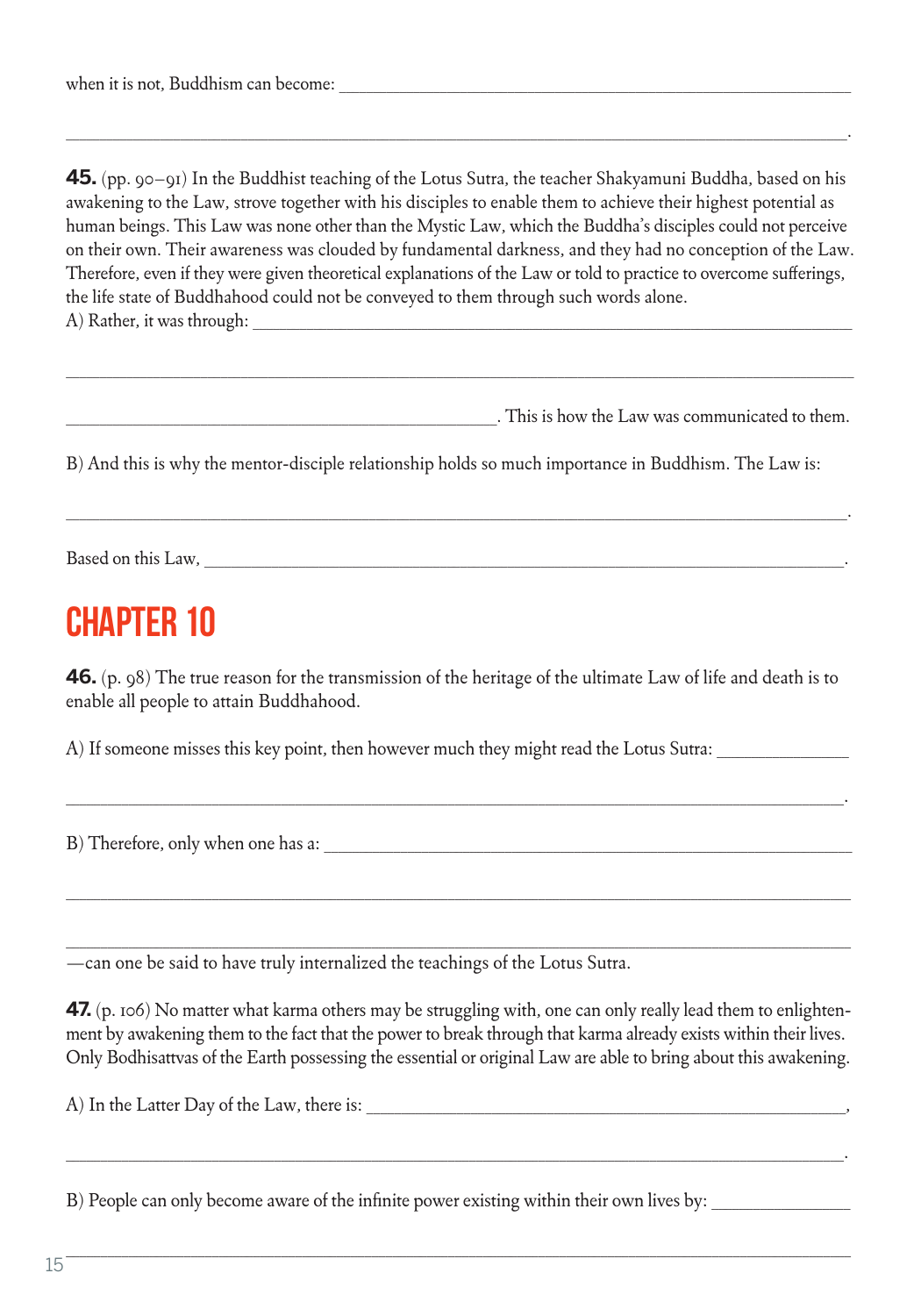**45.** (pp. 90–91) In the Buddhist teaching of the Lotus Sutra, the teacher Shakyamuni Buddha, based on his awakening to the Law, strove together with his disciples to enable them to achieve their highest potential as human beings. This Law was none other than the Mystic Law, which the Buddha's disciples could not perceive on their own. Their awareness was clouded by fundamental darkness, and they had no conception of the Law. Therefore, even if they were given theoretical explanations of the Law or told to practice to overcome sufferings, the life state of Buddhahood could not be conveyed to them through such words alone. A) Rather, it was through:

 $\_$  ,  $\_$  ,  $\_$  ,  $\_$  ,  $\_$  ,  $\_$  ,  $\_$  ,  $\_$  ,  $\_$  ,  $\_$  ,  $\_$  ,  $\_$  ,  $\_$  ,  $\_$  ,  $\_$  ,  $\_$  ,  $\_$  ,  $\_$  ,  $\_$  ,  $\_$  ,  $\_$  ,  $\_$  ,  $\_$  ,  $\_$  ,  $\_$  ,  $\_$  ,  $\_$  ,  $\_$  ,  $\_$  ,  $\_$  ,  $\_$  ,  $\_$  ,  $\_$  ,  $\_$  ,  $\_$  ,  $\_$  ,  $\_$  ,

\_\_\_\_\_\_\_\_\_\_\_\_\_\_\_\_\_\_\_\_\_\_\_\_\_\_\_\_\_\_\_\_\_\_\_\_\_\_\_\_\_\_\_\_\_\_\_\_\_\_\_\_\_\_\_\_\_\_\_\_\_\_\_\_\_\_\_\_\_\_\_\_\_\_\_\_\_\_\_\_\_\_\_\_\_\_\_\_\_\_\_\_\_\_\_\_\_\_\_\_\_\_\_\_\_\_\_\_\_\_\_\_\_\_\_\_.

\_\_\_\_\_\_\_\_\_\_\_\_\_\_\_\_\_\_\_\_\_\_\_\_\_\_\_\_\_\_\_\_\_\_\_\_\_\_\_\_\_\_\_\_\_\_\_\_\_\_\_\_\_\_\_\_\_\_\_\_\_\_\_\_. This is how the Law was communicated to them.

B) And this is why the mentor-disciple relationship holds so much importance in Buddhism. The Law is:

\_\_\_\_\_\_\_\_\_\_\_\_\_\_\_\_\_\_\_\_\_\_\_\_\_\_\_\_\_\_\_\_\_\_\_\_\_\_\_\_\_\_\_\_\_\_\_\_\_\_\_\_\_\_\_\_\_\_\_\_\_\_\_\_\_\_\_\_\_\_\_\_\_\_\_\_\_\_\_\_\_\_\_\_\_\_\_\_\_\_\_\_\_\_\_\_\_\_\_\_\_\_\_\_\_\_\_\_\_\_\_\_\_\_\_\_.

Based on this Law,

#### Chapter 10

**46.** (p. 98) The true reason for the transmission of the heritage of the ultimate Law of life and death is to enable all people to attain Buddhahood.

\_\_\_\_\_\_\_\_\_\_\_\_\_\_\_\_\_\_\_\_\_\_\_\_\_\_\_\_\_\_\_\_\_\_\_\_\_\_\_\_\_\_\_\_\_\_\_\_\_\_\_\_\_\_\_\_\_\_\_\_\_\_\_\_\_\_\_\_\_\_\_\_\_\_\_\_\_\_\_\_\_\_\_\_\_\_\_\_\_\_\_\_\_\_\_\_\_\_\_\_\_\_\_\_\_\_\_\_\_\_\_\_.

\_\_\_\_\_\_\_\_\_\_\_\_\_\_\_\_\_\_\_\_\_\_\_\_\_\_\_\_\_\_\_\_\_\_\_\_\_\_\_\_\_\_\_\_\_\_\_\_\_\_\_\_\_\_\_\_\_\_\_\_\_\_\_\_\_\_\_\_\_\_\_\_\_\_\_\_\_\_\_\_\_\_\_\_\_\_\_\_\_\_\_\_\_\_\_\_\_\_\_\_\_\_\_\_\_\_\_\_\_\_\_\_\_

\_\_\_\_\_\_\_\_\_\_\_\_\_\_\_\_\_\_\_\_\_\_\_\_\_\_\_\_\_\_\_\_\_\_\_\_\_\_\_\_\_\_\_\_\_\_\_\_\_\_\_\_\_\_\_\_\_\_\_\_\_\_\_\_\_\_\_\_\_\_\_\_\_\_\_\_\_\_\_\_\_\_\_\_\_\_\_\_\_\_\_\_\_\_\_\_\_\_\_\_\_\_\_\_\_\_\_\_\_\_\_\_\_

A) If someone misses this key point, then however much they might read the Lotus Sutra:

B) Therefore, only when one has a:

—can one be said to have truly internalized the teachings of the Lotus Sutra.

**47.** (p. 106) No matter what karma others may be struggling with, one can only really lead them to enlightenment by awakening them to the fact that the power to break through that karma already exists within their lives. Only Bodhisattvas of the Earth possessing the essential or original Law are able to bring about this awakening.

\_\_\_\_\_\_\_\_\_\_\_\_\_\_\_\_\_\_\_\_\_\_\_\_\_\_\_\_\_\_\_\_\_\_\_\_\_\_\_\_\_\_\_\_\_\_\_\_\_\_\_\_\_\_\_\_\_\_\_\_\_\_\_\_\_\_\_\_\_\_\_\_\_\_\_\_\_\_\_\_\_\_\_\_\_\_\_\_\_\_\_\_\_\_\_\_\_\_\_\_\_\_\_\_\_\_\_\_\_\_\_\_.

A) In the Latter Day of the Law, there is:

B) People can only become aware of the infinite power existing within their own lives by: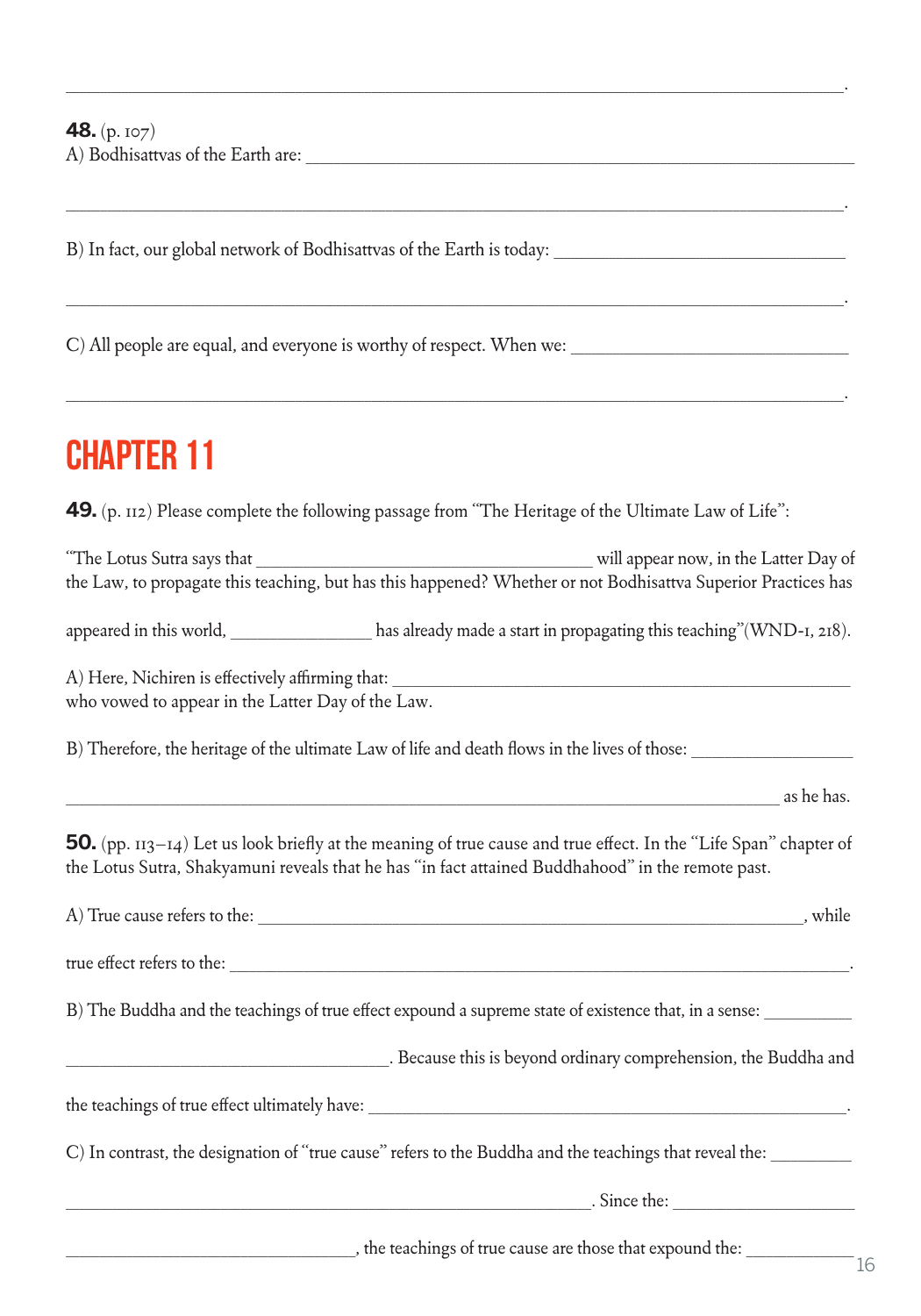**48.** (p. 107) A) Bodhisattvas of the Earth are:  $\Box$ 

B) In fact, our global network of Bodhisattvas of the Earth is today: \_\_\_\_\_\_\_\_\_\_\_\_\_\_\_\_\_\_\_\_\_\_\_\_\_\_\_\_\_\_\_\_\_\_\_\_\_\_\_\_\_\_

C) All people are equal, and everyone is worthy of respect. When we:

## Chapter 11

**49.** (p. 112) Please complete the following passage from "The Heritage of the Ultimate Law of Life":

The Lotus Sutra says that **The Lotus Sutra says that**  The Latter Day of the Law, to propagate this teaching, but has this happened? Whether or not Bodhisattva Superior Practices has

\_\_\_\_\_\_\_\_\_\_\_\_\_\_\_\_\_\_\_\_\_\_\_\_\_\_\_\_\_\_\_\_\_\_\_\_\_\_\_\_\_\_\_\_\_\_\_\_\_\_\_\_\_\_\_\_\_\_\_\_\_\_\_\_\_\_\_\_\_\_\_\_\_\_\_\_\_\_\_\_\_\_\_\_\_\_\_\_\_\_\_\_\_\_\_\_\_\_\_\_\_\_\_\_\_\_\_\_\_\_\_\_.

\_\_\_\_\_\_\_\_\_\_\_\_\_\_\_\_\_\_\_\_\_\_\_\_\_\_\_\_\_\_\_\_\_\_\_\_\_\_\_\_\_\_\_\_\_\_\_\_\_\_\_\_\_\_\_\_\_\_\_\_\_\_\_\_\_\_\_\_\_\_\_\_\_\_\_\_\_\_\_\_\_\_\_\_\_\_\_\_\_\_\_\_\_\_\_\_\_\_\_\_\_\_\_\_\_\_\_\_\_\_\_\_.

\_\_\_\_\_\_\_\_\_\_\_\_\_\_\_\_\_\_\_\_\_\_\_\_\_\_\_\_\_\_\_\_\_\_\_\_\_\_\_\_\_\_\_\_\_\_\_\_\_\_\_\_\_\_\_\_\_\_\_\_\_\_\_\_\_\_\_\_\_\_\_\_\_\_\_\_\_\_\_\_\_\_\_\_\_\_\_\_\_\_\_\_\_\_\_\_\_\_\_\_\_\_\_\_\_\_\_\_\_\_\_\_.

\_\_\_\_\_\_\_\_\_\_\_\_\_\_\_\_\_\_\_\_\_\_\_\_\_\_\_\_\_\_\_\_\_\_\_\_\_\_\_\_\_\_\_\_\_\_\_\_\_\_\_\_\_\_\_\_\_\_\_\_\_\_\_\_\_\_\_\_\_\_\_\_\_\_\_\_\_\_\_\_\_\_\_\_\_\_\_\_\_\_\_\_\_\_\_\_\_\_\_\_\_\_\_\_\_\_\_\_\_\_\_\_.

appeared in this world, has already made a start in propagating this teaching"(WND-1, 218).

A) Here, Nichiren is effectively affirming that: who vowed to appear in the Latter Day of the Law.

B) Therefore, the heritage of the ultimate Law of life and death flows in the lives of those: \_\_\_\_\_\_\_\_\_\_\_\_\_\_\_\_\_\_\_\_\_\_\_\_

\_\_\_\_\_\_\_\_\_\_\_\_\_\_\_\_\_\_\_\_\_\_\_\_\_\_\_\_\_\_\_\_\_\_\_\_\_\_\_\_\_\_\_\_\_\_\_\_\_\_\_\_\_\_\_\_\_\_\_\_\_\_\_\_\_\_\_\_\_\_\_\_\_\_\_\_\_\_\_\_\_\_\_\_\_\_\_\_\_\_\_\_\_\_\_\_\_\_\_\_\_\_\_\_\_\_ as he has.

**50.** (pp. 113–14) Let us look briefly at the meaning of true cause and true effect. In the "Life Span" chapter of the Lotus Sutra, Shakyamuni reveals that he has "in fact attained Buddhahood" in the remote past.

| A) True cause refers to the:                                                                            | , while |
|---------------------------------------------------------------------------------------------------------|---------|
| true effect refers to the:                                                                              |         |
| B) The Buddha and the teachings of true effect expound a supreme state of existence that, in a sense:   |         |
| . Because this is beyond ordinary comprehension, the Buddha and                                         |         |
| the teachings of true effect ultimately have:                                                           |         |
| C) In contrast, the designation of "true cause" refers to the Buddha and the teachings that reveal the: |         |
| Since the:                                                                                              |         |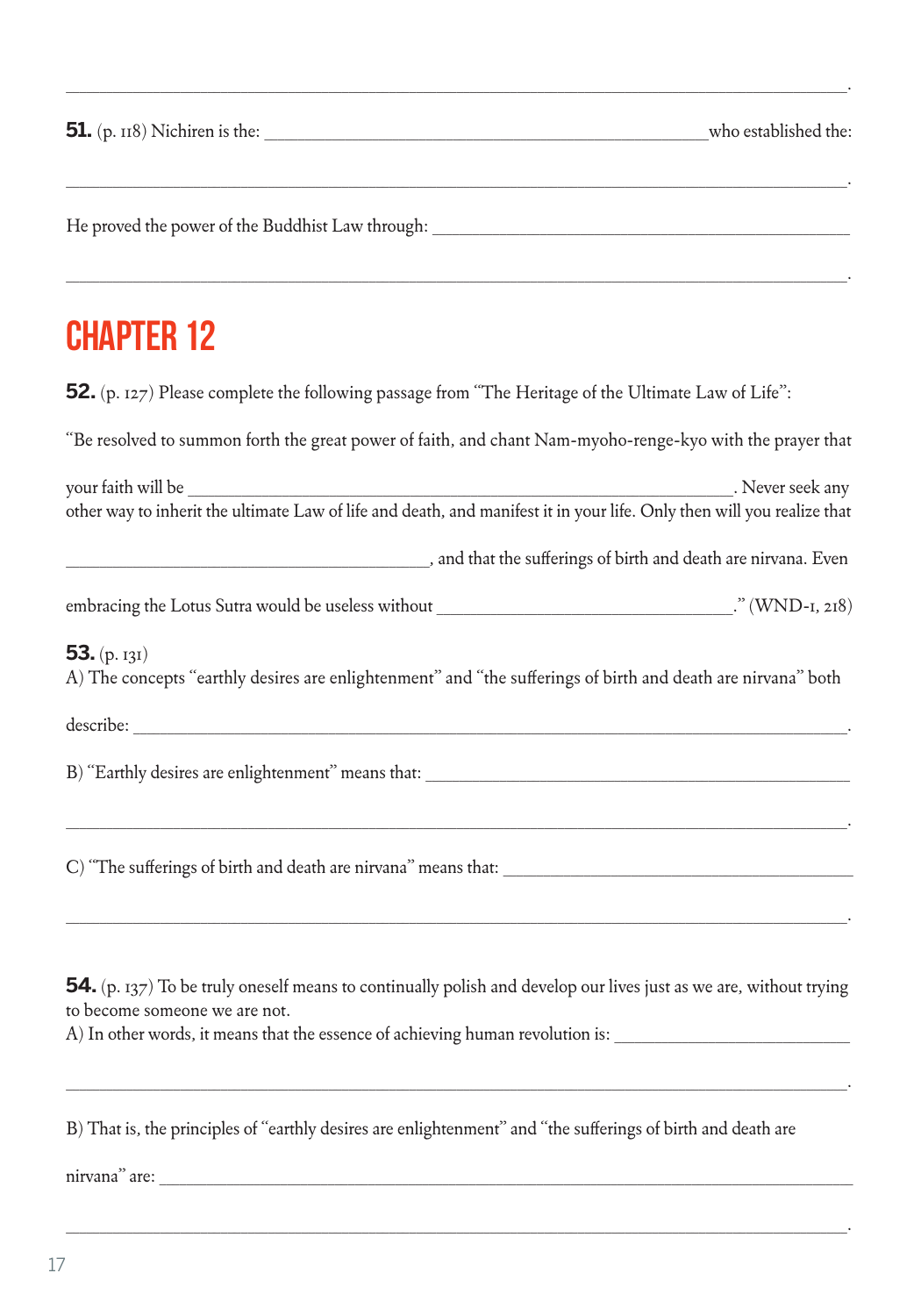He proved the power of the Buddhist Law through: \_\_\_\_\_\_\_\_\_\_\_\_\_\_\_\_\_\_\_\_\_\_\_\_\_\_\_\_\_\_\_

#### **CHAPTER 12**

**52.** (p. 127) Please complete the following passage from "The Heritage of the Ultimate Law of Life":

"Be resolved to summon forth the great power of faith, and chant Nam-myoho-renge-kyo with the prayer that

\_\_\_\_\_\_\_\_\_\_\_\_\_\_\_\_\_\_\_\_\_\_\_\_\_\_\_\_\_\_\_\_\_\_\_\_\_\_\_\_\_\_\_\_\_\_\_\_\_\_\_\_\_\_\_\_\_\_\_\_\_\_\_\_\_\_\_\_\_\_\_\_\_\_\_\_\_\_\_\_\_\_\_\_\_\_\_\_\_\_\_\_\_\_\_\_\_\_\_\_\_\_\_\_\_\_\_\_\_\_\_\_\_\_\_\_.

\_\_\_\_\_\_\_\_\_\_\_\_\_\_\_\_\_\_\_\_\_\_\_\_\_\_\_\_\_\_\_\_\_\_\_\_\_\_\_\_\_\_\_\_\_\_\_\_\_\_\_\_\_\_\_\_\_\_\_\_\_\_\_\_\_\_\_\_\_\_\_\_\_\_\_\_\_\_\_\_\_\_\_\_\_\_\_\_\_\_\_\_\_\_\_\_\_\_\_\_\_\_\_\_\_\_\_\_\_\_\_\_\_\_\_\_.

\_\_\_\_\_\_\_\_\_\_\_\_\_\_\_\_\_\_\_\_\_\_\_\_\_\_\_\_\_\_\_\_\_\_\_\_\_\_\_\_\_\_\_\_\_\_\_\_\_\_\_\_\_\_\_\_\_\_\_\_\_\_\_\_\_\_\_\_\_\_\_\_\_\_\_\_\_\_\_\_\_\_\_\_\_\_\_\_\_\_\_\_\_\_\_\_\_\_\_\_\_\_\_\_\_\_\_\_\_\_\_\_\_\_\_\_.

| your faith will be                                                                                                     | . Never seek any                                                                                             |
|------------------------------------------------------------------------------------------------------------------------|--------------------------------------------------------------------------------------------------------------|
| other way to inherit the ultimate Law of life and death, and manifest it in your life. Only then will you realize that |                                                                                                              |
|                                                                                                                        | and that the sufferings of birth and death are nirvana. Even                                                 |
|                                                                                                                        |                                                                                                              |
| 53. $(p. 131)$                                                                                                         | A) The concepts "earthly desires are enlightenment" and "the sufferings of birth and death are nirvana" both |
|                                                                                                                        |                                                                                                              |
|                                                                                                                        | B) "Earthly desires are enlightenment" means that:                                                           |
| C) "The sufferings of birth and death are nirvana" means that:                                                         |                                                                                                              |

**54.** (p. 137) To be truly oneself means to continually polish and develop our lives just as we are, without trying to become someone we are not.

\_\_\_\_\_\_\_\_\_\_\_\_\_\_\_\_\_\_\_\_\_\_\_\_\_\_\_\_\_\_\_\_\_\_\_\_\_\_\_\_\_\_\_\_\_\_\_\_\_\_\_\_\_\_\_\_\_\_\_\_\_\_\_\_\_\_\_\_\_\_\_\_\_\_\_\_\_\_\_\_\_\_\_\_\_\_\_\_\_\_\_\_\_\_\_\_\_\_\_\_\_\_\_\_\_\_\_\_\_\_\_\_\_\_\_\_.

\_\_\_\_\_\_\_\_\_\_\_\_\_\_\_\_\_\_\_\_\_\_\_\_\_\_\_\_\_\_\_\_\_\_\_\_\_\_\_\_\_\_\_\_\_\_\_\_\_\_\_\_\_\_\_\_\_\_\_\_\_\_\_\_\_\_\_\_\_\_\_\_\_\_\_\_\_\_\_\_\_\_\_\_\_\_\_\_\_\_\_\_\_\_\_\_\_\_\_\_\_\_\_\_\_\_\_\_\_\_\_\_\_\_\_\_.

\_\_\_\_\_\_\_\_\_\_\_\_\_\_\_\_\_\_\_\_\_\_\_\_\_\_\_\_\_\_\_\_\_\_\_\_\_\_\_\_\_\_\_\_\_\_\_\_\_\_\_\_\_\_\_\_\_\_\_\_\_\_\_\_\_\_\_\_\_\_\_\_\_\_\_\_\_\_\_\_\_\_\_\_\_\_\_\_\_\_\_\_\_\_\_\_\_\_\_\_\_\_\_\_\_\_\_\_\_\_\_\_\_\_\_\_.

A) In other words, it means that the essence of achieving human revolution is:

B) That is, the principles of "earthly desires are enlightenment" and "the sufferings of birth and death are

nirvana" are: \_\_\_\_\_\_\_\_\_\_\_\_\_\_\_\_\_\_\_\_\_\_\_\_\_\_\_\_\_\_\_\_\_\_\_\_\_\_\_\_\_\_\_\_\_\_\_\_\_\_\_\_\_\_\_\_\_\_\_\_\_\_\_\_\_\_\_\_\_\_\_\_\_\_\_\_\_\_\_\_\_\_\_\_\_\_\_\_\_\_\_\_\_\_\_\_\_\_\_\_\_\_\_